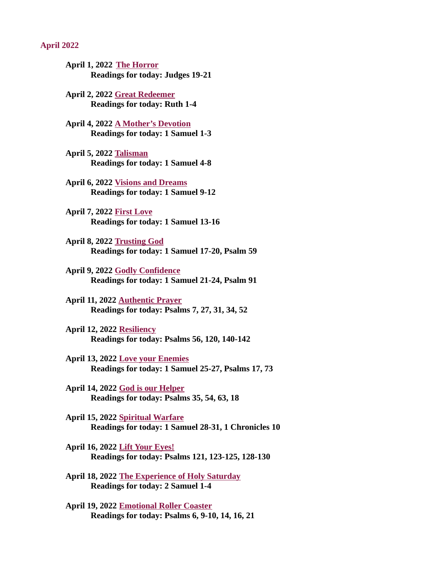#### <span id="page-0-0"></span>April 2022

- April 1, 2022 The Horror [Readings for today: Judges 19-21](#page-2-0)
- [April 2, 2022 Great Redeemer](#page-3-0) Readings for today: Ruth 1-4
- [April 4, 2022 A Mother's Devotion](#page-4-0) Readings for today: 1 Samuel 1-3
- April 5, 2022 Talisman [Readings for today: 1 Samuel 4-8](#page-5-0)
- April 6, 2022 Visions and Dreams [Readings for today: 1 Samuel 9-12](#page-6-0)
- April 7, 2022 First Love [Readings for today: 1 Samuel 13-16](#page-7-0)
- April 8, 2022 Trusting God [Readings for today: 1 Samuel 17-20, Psalm 59](#page-8-0)
- April 9, 2022 Godly Confidence [Readings for today: 1 Samuel 21-24, Psalm 91](#page-9-0)
- April 11, 2022 Authentic Prayer [Readings for today: Psalms 7, 27, 31, 34, 52](#page-10-0)
- April 12, 2022 Resiliency [Readings for today: Psalms 56, 120, 140-142](#page-12-0)
- April 13, 2022 Love your Enemies [Readings for today: 1 Samuel 25-27, Psalms 17, 73](#page-14-0)
- April 14, 2022 God is our Helper [Readings for today: Psalms 35, 54, 63, 18](#page-15-0)
- April 15, 2022 Spiritual Warfare [Readings for today: 1 Samuel 28-31, 1 Chronicles 10](#page-17-0)
- April 16, 2022 Lift Your Eyes! [Readings for today: Psalms 121, 123-125, 128-130](#page-18-0)
- [April 18, 2022 The Experience of Holy Saturday](#page-19-0) Readings for today: 2 Samuel 1-4
- April 19, 2022 Emotional Roller Coaster [Readings for today: Psalms 6, 9-10, 14, 16, 21](#page-20-0)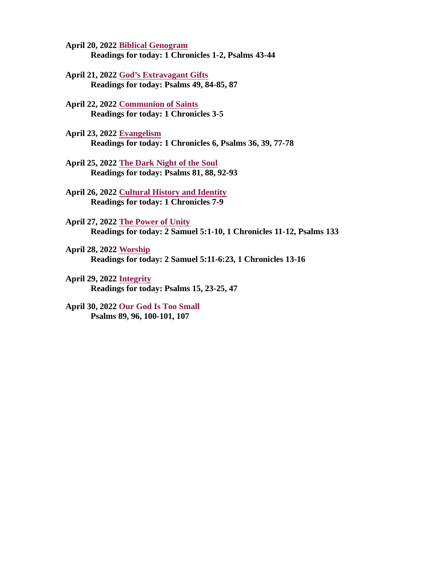- April 20, 2022 Biblical Genogram [Readings for today: 1 Chronicles 1-2, Psalms 43-44](#page-21-0)
- April 21, 2022 God's Extravagant Gifts [Readings for today: Psalms 49, 84-85, 87](#page-22-0)
- April 22, 2022 Communion of Saints [Readings for today: 1 Chronicles 3-5](#page-23-0)
- April 23, 2022 Evangelism [Readings for today: 1 Chronicles 6, Psalms 36, 39, 77-78](#page-25-0)
- [April 25, 2022 The Dark Night of the Soul](#page-27-0) Readings for today: Psalms 81, 88, 92-93
- [April 26, 2022 Cultural History and Identity](#page-29-0) Readings for today: 1 Chronicles 7-9
- April 27, 2022 The Power of Unity [Readings for today: 2 Samuel 5:1-10, 1 Chronicles 11-12, Psalms 133](#page-30-0)
- April 28, 2022 Worship [Readings for today: 2 Samuel 5:11-6:23, 1 Chronicles 13-16](#page-31-0)
- April 29, 2022 Integrity [Readings for today: Psalms 15, 23-25, 47](#page-33-0)
- April 30, 2022 **Our God Is Too Small** [Psalms 89, 96, 100-101, 107](#page-34-0)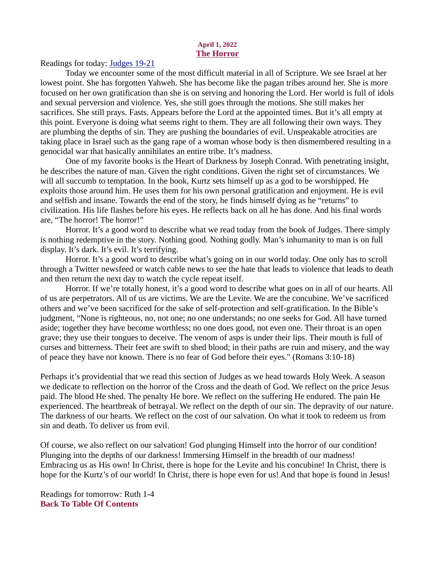### April 1, 2022 The Horror

<span id="page-2-0"></span>[Readings for today: Judges 19-21](https://www.biblegateway.com/passage/?search=Judges+19-21&version=ESV)

Today we encounter some of the most difficult material in all of Scripture. We see Israel at her lowest point. She has forgotten Yahweh. She has become like the pagan tribes around her. She is more focused on her own gratification than she is on serving and honoring the Lord. Her world is full of idols and sexual perversion and violence. Yes, she still goes through the motions. She still makes her sacrifices. She still prays. Fasts. Appears before the Lord at the appointed times. But it's all empty at this point. Everyone is doing what seems right to them. They are all following their own ways. They are plumbing the depths of sin. They are pushing the boundaries of evil. Unspeakable atrocities are taking place in Israel such as the gang rape of a woman whose body is then dismembered resulting in a genocidal war that basically annihilates an entire tribe. It's madness.

One of my favorite books is the Heart of Darkness by Joseph Conrad. With penetrating insight, he describes the nature of man. Given the right conditions. Given the right set of circumstances. We will all succumb to temptation. In the book, Kurtz sets himself up as a god to be worshipped. He exploits those around him. He uses them for his own personal gratification and enjoyment. He is evil and selfish and insane. Towards the end of the story, he finds himself dying as he "returns" to civilization. His life flashes before his eyes. He reflects back on all he has done. And his final words are, "The horror! The horror!"

Horror. It's a good word to describe what we read today from the book of Judges. There simply is nothing redemptive in the story. Nothing good. Nothing godly. Man's inhumanity to man is on full display. It's dark. It's evil. It's terrifying.

Horror. It's a good word to describe what's going on in our world today. One only has to scroll through a Twitter newsfeed or watch cable news to see the hate that leads to violence that leads to death and then return the next day to watch the cycle repeat itself.

Horror. If we're totally honest, it's a good word to describe what goes on in all of our hearts. All of us are perpetrators. All of us are victims. We are the Levite. We are the concubine. We've sacrificed others and we've been sacrificed for the sake of self-protection and self-gratification. In the Bible's judgment, "None is righteous, no, not one; no one understands; no one seeks for God. All have turned aside; together they have become worthless; no one does good, not even one. Their throat is an open grave; they use their tongues to deceive. The venom of asps is under their lips. Their mouth is full of curses and bitterness. Their feet are swift to shed blood; in their paths are ruin and misery, and the way of peace they have not known. There is no fear of God before their eyes." (Romans 3:10-18)

Perhaps it's providential that we read this section of Judges as we head towards Holy Week. A season we dedicate to reflection on the horror of the Cross and the death of God. We reflect on the price Jesus paid. The blood He shed. The penalty He bore. We reflect on the suffering He endured. The pain He experienced. The heartbreak of betrayal. We reflect on the depth of our sin. The depravity of our nature. The darkness of our hearts. We reflect on the cost of our salvation. On what it took to redeem us from sin and death. To deliver us from evil.

Of course, we also reflect on our salvation! God plunging Himself into the horror of our condition! Plunging into the depths of our darkness! Immersing Himself in the breadth of our madness! Embracing us as His own! In Christ, there is hope for the Levite and his concubine! In Christ, there is hope for the Kurtz's of our world! In Christ, there is hope even for us! And that hope is found in Jesus!

Readings for tomorrow: Ruth 1-4 [Back To Table Of Contents](#page-0-0)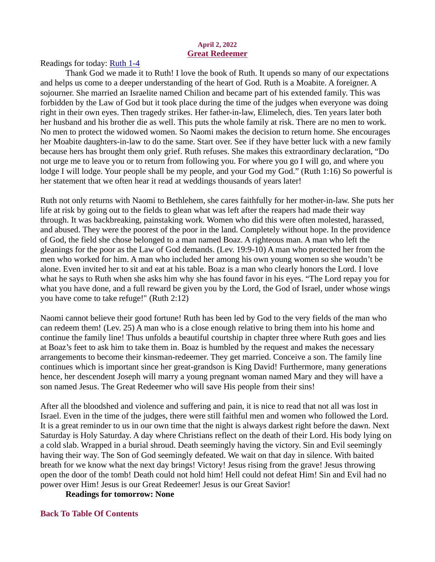### April 2, 2022 Great Redeemer

<span id="page-3-0"></span>[Readings for today: Ruth 1-4](https://www.biblegateway.com/passage/?search=Ruth+1-4&version=ESV)

Thank God we made it to Ruth! I love the book of Ruth. It upends so many of our expectations and helps us come to a deeper understanding of the heart of God. Ruth is a Moabite. A foreigner. A sojourner. She married an Israelite named Chilion and became part of his extended family. This was forbidden by the Law of God but it took place during the time of the judges when everyone was doing right in their own eyes. Then tragedy strikes. Her father-in-law, Elimelech, dies. Ten years later both her husband and his brother die as well. This puts the whole family at risk. There are no men to work. No men to protect the widowed women. So Naomi makes the decision to return home. She encourages her Moabite daughters-in-law to do the same. Start over. See if they have better luck with a new family because hers has brought them only grief. Ruth refuses. She makes this extraordinary declaration, "Do not urge me to leave you or to return from following you. For where you go I will go, and where you lodge I will lodge. Your people shall be my people, and your God my God." (Ruth 1:16) So powerful is her statement that we often hear it read at weddings thousands of years later!

Ruth not only returns with Naomi to Bethlehem, she cares faithfully for her mother-in-law. She puts her life at risk by going out to the fields to glean what was left after the reapers had made their way through. It was backbreaking, painstaking work. Women who did this were often molested, harassed, and abused. They were the poorest of the poor in the land. Completely without hope. In the providence of God, the field she chose belonged to a man named Boaz. A righteous man. A man who left the gleanings for the poor as the Law of God demands. (Lev. 19:9-10) A man who protected her from the men who worked for him. A man who included her among his own young women so she woudn't be alone. Even invited her to sit and eat at his table. Boaz is a man who clearly honors the Lord. I love what he says to Ruth when she asks him why she has found favor in his eyes. "The Lord repay you for what you have done, and a full reward be given you by the Lord, the God of Israel, under whose wings you have come to take refuge!" (Ruth 2:12)

Naomi cannot believe their good fortune! Ruth has been led by God to the very fields of the man who can redeem them! (Lev. 25) A man who is a close enough relative to bring them into his home and continue the family line! Thus unfolds a beautiful courtship in chapter three where Ruth goes and lies at Boaz's feet to ask him to take them in. Boaz is humbled by the request and makes the necessary arrangements to become their kinsman-redeemer. They get married. Conceive a son. The family line continues which is important since her great-grandson is King David! Furthermore, many generations hence, her descendent Joseph will marry a young pregnant woman named Mary and they will have a son named Jesus. The Great Redeemer who will save His people from their sins!

After all the bloodshed and violence and suffering and pain, it is nice to read that not all was lost in Israel. Even in the time of the judges, there were still faithful men and women who followed the Lord. It is a great reminder to us in our own time that the night is always darkest right before the dawn. Next Saturday is Holy Saturday. A day where Christians reflect on the death of their Lord. His body lying on a cold slab. Wrapped in a burial shroud. Death seemingly having the victory. Sin and Evil seemingly having their way. The Son of God seemingly defeated. We wait on that day in silence. With baited breath for we know what the next day brings! Victory! Jesus rising from the grave! Jesus throwing open the door of the tomb! Death could not hold him! Hell could not defeat Him! Sin and Evil had no power over Him! Jesus is our Great Redeemer! Jesus is our Great Savior!

Readings for tomorrow: None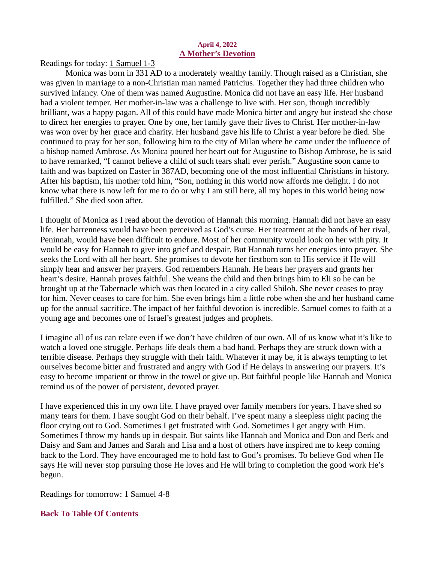### April 4, 2022 A Mother's Devotion

<span id="page-4-0"></span>[Readings for today: 1 Samuel 1-3](https://www.biblegateway.com/passage/?search=1+Samuel+1-3&version=ESV)

Monica was born in 331 AD to a moderately wealthy family. Though raised as a Christian, she was given in marriage to a non-Christian man named Patricius. Together they had three children who survived infancy. One of them was named Augustine. Monica did not have an easy life. Her husband had a violent temper. Her mother-in-law was a challenge to live with. Her son, though incredibly brilliant, was a happy pagan. All of this could have made Monica bitter and angry but instead she chose to direct her energies to prayer. One by one, her family gave their lives to Christ. Her mother-in-law was won over by her grace and charity. Her husband gave his life to Christ a year before he died. She continued to pray for her son, following him to the city of Milan where he came under the influence of a bishop named Ambrose. As Monica poured her heart out for Augustine to Bishop Ambrose, he is said to have remarked, "I cannot believe a child of such tears shall ever perish." Augustine soon came to faith and was baptized on Easter in 387AD, becoming one of the most influential Christians in history. After his baptism, his mother told him, "Son, nothing in this world now affords me delight. I do not know what there is now left for me to do or why I am still here, all my hopes in this world being now fulfilled." She died soon after.

I thought of Monica as I read about the devotion of Hannah this morning. Hannah did not have an easy life. Her barrenness would have been perceived as God's curse. Her treatment at the hands of her rival, Peninnah, would have been difficult to endure. Most of her community would look on her with pity. It would be easy for Hannah to give into grief and despair. But Hannah turns her energies into prayer. She seeks the Lord with all her heart. She promises to devote her firstborn son to His service if He will simply hear and answer her prayers. God remembers Hannah. He hears her prayers and grants her heart's desire. Hannah proves faithful. She weans the child and then brings him to Eli so he can be brought up at the Tabernacle which was then located in a city called Shiloh. She never ceases to pray for him. Never ceases to care for him. She even brings him a little robe when she and her husband came up for the annual sacrifice. The impact of her faithful devotion is incredible. Samuel comes to faith at a young age and becomes one of Israel's greatest judges and prophets.

I imagine all of us can relate even if we don't have children of our own. All of us know what it's like to watch a loved one struggle. Perhaps life deals them a bad hand. Perhaps they are struck down with a terrible disease. Perhaps they struggle with their faith. Whatever it may be, it is always tempting to let ourselves become bitter and frustrated and angry with God if He delays in answering our prayers. It's easy to become impatient or throw in the towel or give up. But faithful people like Hannah and Monica remind us of the power of persistent, devoted prayer.

I have experienced this in my own life. I have prayed over family members for years. I have shed so many tears for them. I have sought God on their behalf. I've spent many a sleepless night pacing the floor crying out to God. Sometimes I get frustrated with God. Sometimes I get angry with Him. Sometimes I throw my hands up in despair. But saints like Hannah and Monica and Don and Berk and Daisy and Sam and James and Sarah and Lisa and a host of others have inspired me to keep coming back to the Lord. They have encouraged me to hold fast to God's promises. To believe God when He says He will never stop pursuing those He loves and He will bring to completion the good work He's begun.

Readings for tomorrow: 1 Samuel 4-8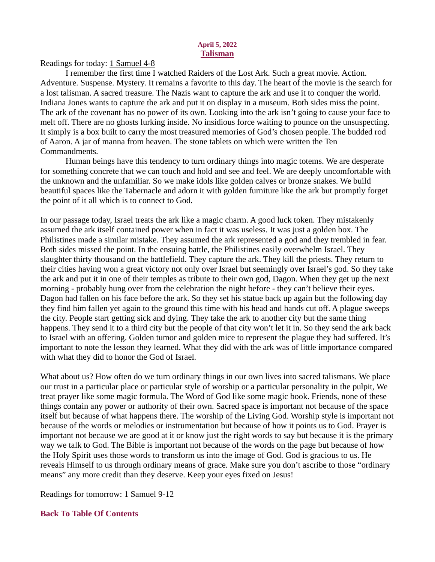#### April 5, 2022 Talisman

<span id="page-5-0"></span>[Readings for today: 1 Samuel 4-8](https://www.biblegateway.com/passage/?search=1+Samuel+4-8&version=ESV)

I remember the first time I watched Raiders of the Lost Ark. Such a great movie. Action. Adventure. Suspense. Mystery. It remains a favorite to this day. The heart of the movie is the search for a lost talisman. A sacred treasure. The Nazis want to capture the ark and use it to conquer the world. Indiana Jones wants to capture the ark and put it on display in a museum. Both sides miss the point. The ark of the covenant has no power of its own. Looking into the ark isn't going to cause your face to melt off. There are no ghosts lurking inside. No insidious force waiting to pounce on the unsuspecting. It simply is a box built to carry the most treasured memories of God's chosen people. The budded rod of Aaron. A jar of manna from heaven. The stone tablets on which were written the Ten Commandments.

Human beings have this tendency to turn ordinary things into magic totems. We are desperate for something concrete that we can touch and hold and see and feel. We are deeply uncomfortable with the unknown and the unfamiliar. So we make idols like golden calves or bronze snakes. We build beautiful spaces like the Tabernacle and adorn it with golden furniture like the ark but promptly forget the point of it all which is to connect to God.

In our passage today, Israel treats the ark like a magic charm. A good luck token. They mistakenly assumed the ark itself contained power when in fact it was useless. It was just a golden box. The Philistines made a similar mistake. They assumed the ark represented a god and they trembled in fear. Both sides missed the point. In the ensuing battle, the Philistines easily overwhelm Israel. They slaughter thirty thousand on the battlefield. They capture the ark. They kill the priests. They return to their cities having won a great victory not only over Israel but seemingly over Israel's god. So they take the ark and put it in one of their temples as tribute to their own god, Dagon. When they get up the next morning - probably hung over from the celebration the night before - they can't believe their eyes. Dagon had fallen on his face before the ark. So they set his statue back up again but the following day they find him fallen yet again to the ground this time with his head and hands cut off. A plague sweeps the city. People start getting sick and dying. They take the ark to another city but the same thing happens. They send it to a third city but the people of that city won't let it in. So they send the ark back to Israel with an offering. Golden tumor and golden mice to represent the plague they had suffered. It's important to note the lesson they learned. What they did with the ark was of little importance compared with what they did to honor the God of Israel.

What about us? How often do we turn ordinary things in our own lives into sacred talismans. We place our trust in a particular place or particular style of worship or a particular personality in the pulpit, We treat prayer like some magic formula. The Word of God like some magic book. Friends, none of these things contain any power or authority of their own. Sacred space is important not because of the space itself but because of what happens there. The worship of the Living God. Worship style is important not because of the words or melodies or instrumentation but because of how it points us to God. Prayer is important not because we are good at it or know just the right words to say but because it is the primary way we talk to God. The Bible is important not because of the words on the page but because of how the Holy Spirit uses those words to transform us into the image of God. God is gracious to us. He reveals Himself to us through ordinary means of grace. Make sure you don't ascribe to those "ordinary means" any more credit than they deserve. Keep your eyes fixed on Jesus!

Readings for tomorrow: 1 Samuel 9-12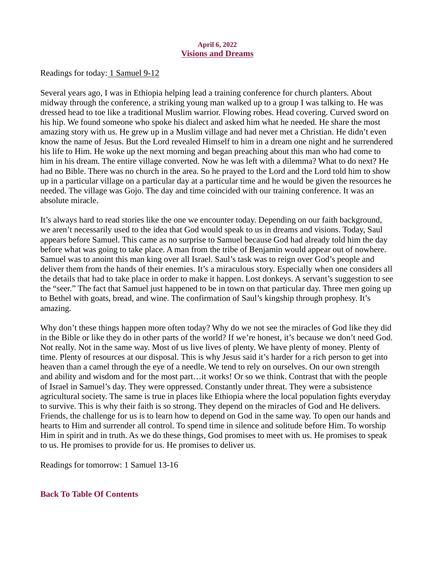#### April 6, 2022 Visions and Dreams

<span id="page-6-0"></span>[Readings for today: 1 Samuel 9-12](https://www.biblegateway.com/passage/?search=+1+Samuel+9-12&version=ESV)

Several years ago, I was in Ethiopia helping lead a training conference for church planters. About midway through the conference, a striking young man walked up to a group I was talking to. He was dressed head to toe like a traditional Muslim warrior. Flowing robes. Head covering. Curved sword on his hip. We found someone who spoke his dialect and asked him what he needed. He share the most amazing story with us. He grew up in a Muslim village and had never met a Christian. He didn't even know the name of Jesus. But the Lord revealed Himself to him in a dream one night and he surrendered his life to Him. He woke up the next morning and began preaching about this man who had come to him in his dream. The entire village converted. Now he was left with a dilemma? What to do next? He had no Bible. There was no church in the area. So he prayed to the Lord and the Lord told him to show up in a particular village on a particular day at a particular time and he would be given the resources he needed. The village was Gojo. The day and time coincided with our training conference. It was an absolute miracle.

It's always hard to read stories like the one we encounter today. Depending on our faith background, we aren't necessarily used to the idea that God would speak to us in dreams and visions. Today, Saul appears before Samuel. This came as no surprise to Samuel because God had already told him the day before what was going to take place. A man from the tribe of Benjamin would appear out of nowhere. Samuel was to anoint this man king over all Israel. Saul's task was to reign over God's people and deliver them from the hands of their enemies. It's a miraculous story. Especially when one considers all the details that had to take place in order to make it happen. Lost donkeys. A servant's suggestion to see the "seer." The fact that Samuel just happened to be in town on that particular day. Three men going up to Bethel with goats, bread, and wine. The confirmation of Saul's kingship through prophesy. It's amazing.

Why don't these things happen more often today? Why do we not see the miracles of God like they did in the Bible or like they do in other parts of the world? If we're honest, it's because we don't need God. Not really. Not in the same way. Most of us live lives of plenty. We have plenty of money. Plenty of time. Plenty of resources at our disposal. This is why Jesus said it's harder for a rich person to get into heaven than a camel through the eye of a needle. We tend to rely on ourselves. On our own strength and ability and wisdom and for the most part…it works! Or so we think. Contrast that with the people of Israel in Samuel's day. They were oppressed. Constantly under threat. They were a subsistence agricultural society. The same is true in places like Ethiopia where the local population fights everyday to survive. This is why their faith is so strong. They depend on the miracles of God and He delivers. Friends, the challenge for us is to learn how to depend on God in the same way. To open our hands and hearts to Him and surrender all control. To spend time in silence and solitude before Him. To worship Him in spirit and in truth. As we do these things, God promises to meet with us. He promises to speak to us. He promises to provide for us. He promises to deliver us.

Readings for tomorrow: 1 Samuel 13-16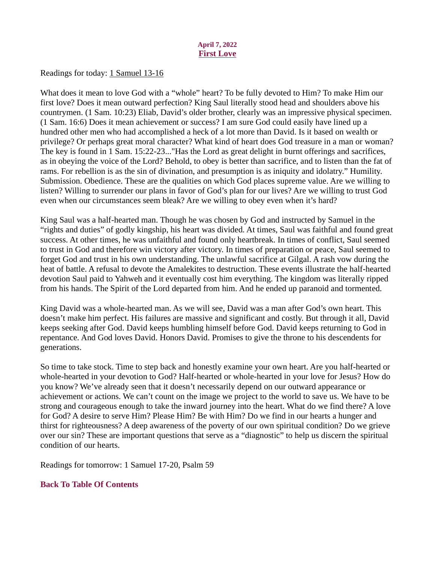## April 7, 2022 First Love

<span id="page-7-0"></span>[Readings for today: 1 Samuel 13-16](https://www.biblegateway.com/passage/?search=1+Samuel+13-16&version=ESV)

What does it mean to love God with a "whole" heart? To be fully devoted to Him? To make Him our first love? Does it mean outward perfection? King Saul literally stood head and shoulders above his countrymen. (1 Sam. 10:23) Eliab, David's older brother, clearly was an impressive physical specimen. (1 Sam. 16:6) Does it mean achievement or success? I am sure God could easily have lined up a hundred other men who had accomplished a heck of a lot more than David. Is it based on wealth or privilege? Or perhaps great moral character? What kind of heart does God treasure in a man or woman? The key is found in 1 Sam. 15:22-23..."Has the Lord as great delight in burnt offerings and sacrifices, as in obeying the voice of the Lord? Behold, to obey is better than sacrifice, and to listen than the fat of rams. For rebellion is as the sin of divination, and presumption is as iniquity and idolatry." Humility. Submission. Obedience. These are the qualities on which God places supreme value. Are we willing to listen? Willing to surrender our plans in favor of God's plan for our lives? Are we willing to trust God even when our circumstances seem bleak? Are we willing to obey even when it's hard?

King Saul was a half-hearted man. Though he was chosen by God and instructed by Samuel in the "rights and duties" of godly kingship, his heart was divided. At times, Saul was faithful and found great success. At other times, he was unfaithful and found only heartbreak. In times of conflict, Saul seemed to trust in God and therefore win victory after victory. In times of preparation or peace, Saul seemed to forget God and trust in his own understanding. The unlawful sacrifice at Gilgal. A rash vow during the heat of battle. A refusal to devote the Amalekites to destruction. These events illustrate the half-hearted devotion Saul paid to Yahweh and it eventually cost him everything. The kingdom was literally ripped from his hands. The Spirit of the Lord departed from him. And he ended up paranoid and tormented.

King David was a whole-hearted man. As we will see, David was a man after God's own heart. This doesn't make him perfect. His failures are massive and significant and costly. But through it all, David keeps seeking after God. David keeps humbling himself before God. David keeps returning to God in repentance. And God loves David. Honors David. Promises to give the throne to his descendents for generations.

So time to take stock. Time to step back and honestly examine your own heart. Are you half-hearted or whole-hearted in your devotion to God? Half-hearted or whole-hearted in your love for Jesus? How do you know? We've already seen that it doesn't necessarily depend on our outward appearance or achievement or actions. We can't count on the image we project to the world to save us. We have to be strong and courageous enough to take the inward journey into the heart. What do we find there? A love for God? A desire to serve Him? Please Him? Be with Him? Do we find in our hearts a hunger and thirst for righteousness? A deep awareness of the poverty of our own spiritual condition? Do we grieve over our sin? These are important questions that serve as a "diagnostic" to help us discern the spiritual condition of our hearts.

Readings for tomorrow: 1 Samuel 17-20, Psalm 59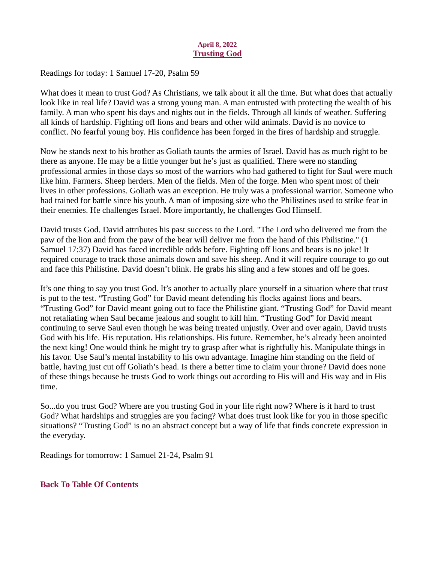## April 8, 2022 Trusting God

<span id="page-8-0"></span>[Readings for today: 1 Samuel 17-20, Psalm 59](https://www.biblegateway.com/passage/?search=1+Samuel+17-20%2C+Psalm+59&version=ESV)

What does it mean to trust God? As Christians, we talk about it all the time. But what does that actually look like in real life? David was a strong young man. A man entrusted with protecting the wealth of his family. A man who spent his days and nights out in the fields. Through all kinds of weather. Suffering all kinds of hardship. Fighting off lions and bears and other wild animals. David is no novice to conflict. No fearful young boy. His confidence has been forged in the fires of hardship and struggle.

Now he stands next to his brother as Goliath taunts the armies of Israel. David has as much right to be there as anyone. He may be a little younger but he's just as qualified. There were no standing professional armies in those days so most of the warriors who had gathered to fight for Saul were much like him. Farmers. Sheep herders. Men of the fields. Men of the forge. Men who spent most of their lives in other professions. Goliath was an exception. He truly was a professional warrior. Someone who had trained for battle since his youth. A man of imposing size who the Philistines used to strike fear in their enemies. He challenges Israel. More importantly, he challenges God Himself.

David trusts God. David attributes his past success to the Lord. "The Lord who delivered me from the paw of the lion and from the paw of the bear will deliver me from the hand of this Philistine." (1 Samuel 17:37) David has faced incredible odds before. Fighting off lions and bears is no joke! It required courage to track those animals down and save his sheep. And it will require courage to go out and face this Philistine. David doesn't blink. He grabs his sling and a few stones and off he goes.

It's one thing to say you trust God. It's another to actually place yourself in a situation where that trust is put to the test. "Trusting God" for David meant defending his flocks against lions and bears. "Trusting God" for David meant going out to face the Philistine giant. "Trusting God" for David meant not retaliating when Saul became jealous and sought to kill him. "Trusting God" for David meant continuing to serve Saul even though he was being treated unjustly. Over and over again, David trusts God with his life. His reputation. His relationships. His future. Remember, he's already been anointed the next king! One would think he might try to grasp after what is rightfully his. Manipulate things in his favor. Use Saul's mental instability to his own advantage. Imagine him standing on the field of battle, having just cut off Goliath's head. Is there a better time to claim your throne? David does none of these things because he trusts God to work things out according to His will and His way and in His time.

So...do you trust God? Where are you trusting God in your life right now? Where is it hard to trust God? What hardships and struggles are you facing? What does trust look like for you in those specific situations? "Trusting God" is no an abstract concept but a way of life that finds concrete expression in the everyday.

Readings for tomorrow: 1 Samuel 21-24, Psalm 91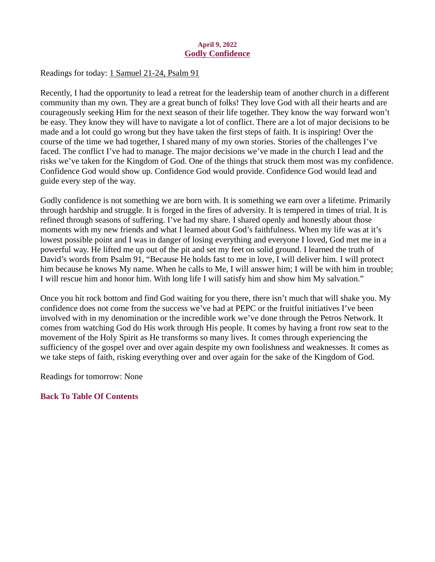### April 9, 2022 Godly Confidence

<span id="page-9-0"></span>[Readings for today: 1 Samuel 21-24, Psalm 91](https://www.biblegateway.com/passage/?search=1+Samuel+21-24%2C+Psalm+91&version=ESV)

Recently, I had the opportunity to lead a retreat for the leadership team of another church in a different community than my own. They are a great bunch of folks! They love God with all their hearts and are courageously seeking Him for the next season of their life together. They know the way forward won't be easy. They know they will have to navigate a lot of conflict. There are a lot of major decisions to be made and a lot could go wrong but they have taken the first steps of faith. It is inspiring! Over the course of the time we had together, I shared many of my own stories. Stories of the challenges I've faced. The conflict I've had to manage. The major decisions we've made in the church I lead and the risks we've taken for the Kingdom of God. One of the things that struck them most was my confidence. Confidence God would show up. Confidence God would provide. Confidence God would lead and guide every step of the way.

Godly confidence is not something we are born with. It is something we earn over a lifetime. Primarily through hardship and struggle. It is forged in the fires of adversity. It is tempered in times of trial. It is refined through seasons of suffering. I've had my share. I shared openly and honestly about those moments with my new friends and what I learned about God's faithfulness. When my life was at it's lowest possible point and I was in danger of losing everything and everyone I loved, God met me in a powerful way. He lifted me up out of the pit and set my feet on solid ground. I learned the truth of David's words from Psalm 91, "Because He holds fast to me in love, I will deliver him. I will protect him because he knows My name. When he calls to Me, I will answer him; I will be with him in trouble; I will rescue him and honor him. With long life I will satisfy him and show him My salvation."

Once you hit rock bottom and find God waiting for you there, there isn't much that will shake you. My confidence does not come from the success we've had at PEPC or the fruitful initiatives I've been involved with in my denomination or the incredible work we've done through the Petros Network. It comes from watching God do His work through His people. It comes by having a front row seat to the movement of the Holy Spirit as He transforms so many lives. It comes through experiencing the sufficiency of the gospel over and over again despite my own foolishness and weaknesses. It comes as we take steps of faith, risking everything over and over again for the sake of the Kingdom of God.

Readings for tomorrow: None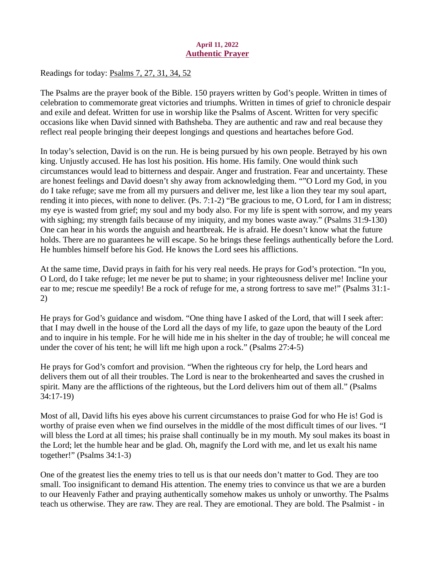## April 11, 2022 Authentic Prayer

<span id="page-10-0"></span>[Readings for today: Psalms 7, 27, 31, 34, 52](https://www.biblegateway.com/passage/?search=Psalms+7%2C+27%2C+31%2C+34%2C+52&version=ESV)

The Psalms are the prayer book of the Bible. 150 prayers written by God's people. Written in times of celebration to commemorate great victories and triumphs. Written in times of grief to chronicle despair and exile and defeat. Written for use in worship like the Psalms of Ascent. Written for very specific occasions like when David sinned with Bathsheba. They are authentic and raw and real because they reflect real people bringing their deepest longings and questions and heartaches before God.

In today's selection, David is on the run. He is being pursued by his own people. Betrayed by his own king. Unjustly accused. He has lost his position. His home. His family. One would think such circumstances would lead to bitterness and despair. Anger and frustration. Fear and uncertainty. These are honest feelings and David doesn't shy away from acknowledging them. ""O Lord my God, in you do I take refuge; save me from all my pursuers and deliver me, lest like a lion they tear my soul apart, rending it into pieces, with none to deliver. (Ps. 7:1-2) "Be gracious to me, O Lord, for I am in distress; my eye is wasted from grief; my soul and my body also. For my life is spent with sorrow, and my years with sighing; my strength fails because of my iniquity, and my bones waste away." (Psalms 31:9-130) One can hear in his words the anguish and heartbreak. He is afraid. He doesn't know what the future holds. There are no guarantees he will escape. So he brings these feelings authentically before the Lord. He humbles himself before his God. He knows the Lord sees his afflictions.

At the same time, David prays in faith for his very real needs. He prays for God's protection. "In you, O Lord, do I take refuge; let me never be put to shame; in your righteousness deliver me! Incline your ear to me; rescue me speedily! Be a rock of refuge for me, a strong fortress to save me!" (Psalms 31:1- 2)

He prays for God's guidance and wisdom. "One thing have I asked of the Lord, that will I seek after: that I may dwell in the house of the Lord all the days of my life, to gaze upon the beauty of the Lord and to inquire in his temple. For he will hide me in his shelter in the day of trouble; he will conceal me under the cover of his tent; he will lift me high upon a rock." (Psalms 27:4-5)

He prays for God's comfort and provision. "When the righteous cry for help, the Lord hears and delivers them out of all their troubles. The Lord is near to the brokenhearted and saves the crushed in spirit. Many are the afflictions of the righteous, but the Lord delivers him out of them all." (Psalms 34:17-19)

Most of all, David lifts his eyes above his current circumstances to praise God for who He is! God is worthy of praise even when we find ourselves in the middle of the most difficult times of our lives. "I will bless the Lord at all times; his praise shall continually be in my mouth. My soul makes its boast in the Lord; let the humble hear and be glad. Oh, magnify the Lord with me, and let us exalt his name together!" (Psalms 34:1-3)

One of the greatest lies the enemy tries to tell us is that our needs don't matter to God. They are too small. Too insignificant to demand His attention. The enemy tries to convince us that we are a burden to our Heavenly Father and praying authentically somehow makes us unholy or unworthy. The Psalms teach us otherwise. They are raw. They are real. They are emotional. They are bold. The Psalmist - in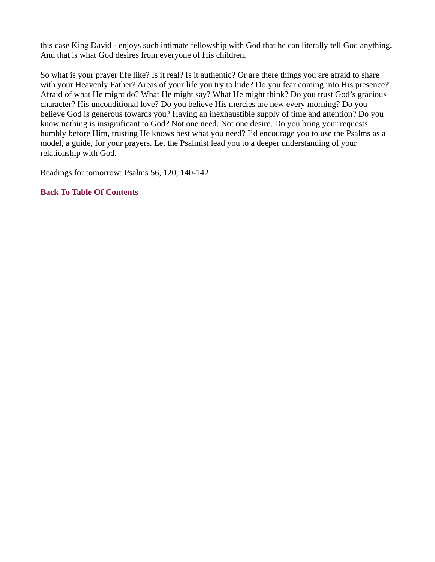this case King David - enjoys such intimate fellowship with God that he can literally tell God anything. And that is what God desires from everyone of His children.

So what is your prayer life like? Is it real? Is it authentic? Or are there things you are afraid to share with your Heavenly Father? Areas of your life you try to hide? Do you fear coming into His presence? Afraid of what He might do? What He might say? What He might think? Do you trust God's gracious character? His unconditional love? Do you believe His mercies are new every morning? Do you believe God is generous towards you? Having an inexhaustible supply of time and attention? Do you know nothing is insignificant to God? Not one need. Not one desire. Do you bring your requests humbly before Him, trusting He knows best what you need? I'd encourage you to use the Psalms as a model, a guide, for your prayers. Let the Psalmist lead you to a deeper understanding of your relationship with God.

Readings for tomorrow: Psalms 56, 120, 140-142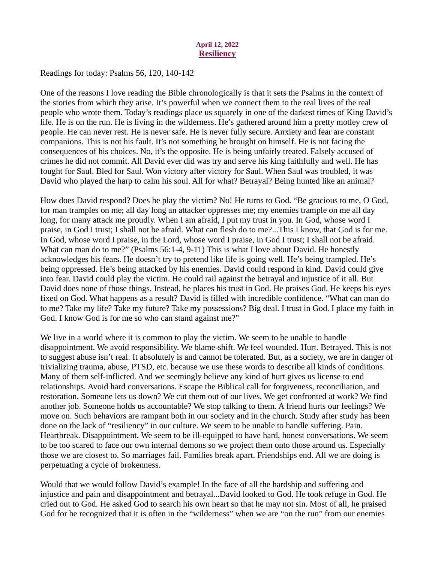### April 12, 2022 **Resiliency**

### <span id="page-12-0"></span>[Readings for today: Psalms 56, 120, 140-142](https://www.biblegateway.com/passage/?search=Psalms+56%2C+120%2C+140-142&version=ESV)

One of the reasons I love reading the Bible chronologically is that it sets the Psalms in the context of the stories from which they arise. It's powerful when we connect them to the real lives of the real people who wrote them. Today's readings place us squarely in one of the darkest times of King David's life. He is on the run. He is living in the wilderness. He's gathered around him a pretty motley crew of people. He can never rest. He is never safe. He is never fully secure. Anxiety and fear are constant companions. This is not his fault. It's not something he brought on himself. He is not facing the consequences of his choices. No, it's the opposite. He is being unfairly treated. Falsely accused of crimes he did not commit. All David ever did was try and serve his king faithfully and well. He has fought for Saul. Bled for Saul. Won victory after victory for Saul. When Saul was troubled, it was David who played the harp to calm his soul. All for what? Betrayal? Being hunted like an animal?

How does David respond? Does he play the victim? No! He turns to God. "Be gracious to me, O God, for man tramples on me; all day long an attacker oppresses me; my enemies trample on me all day long, for many attack me proudly. When I am afraid, I put my trust in you. In God, whose word I praise, in God I trust; I shall not be afraid. What can flesh do to me?...This I know, that God is for me. In God, whose word I praise, in the Lord, whose word I praise, in God I trust; I shall not be afraid. What can man do to me?" (Psalms 56:1-4, 9-11) This is what I love about David. He honestly acknowledges his fears. He doesn't try to pretend like life is going well. He's being trampled. He's being oppressed. He's being attacked by his enemies. David could respond in kind. David could give into fear. David could play the victim. He could rail against the betrayal and injustice of it all. But David does none of those things. Instead, he places his trust in God. He praises God. He keeps his eyes fixed on God. What happens as a result? David is filled with incredible confidence. "What can man do to me? Take my life? Take my future? Take my possessions? Big deal. I trust in God. I place my faith in God. I know God is for me so who can stand against me?"

We live in a world where it is common to play the victim. We seem to be unable to handle disappointment. We avoid responsibility. We blame-shift. We feel wounded. Hurt. Betrayed. This is not to suggest abuse isn't real. It absolutely is and cannot be tolerated. But, as a society, we are in danger of trivializing trauma, abuse, PTSD, etc. because we use these words to describe all kinds of conditions. Many of them self-inflicted. And we seemingly believe any kind of hurt gives us license to end relationships. Avoid hard conversations. Escape the Biblical call for forgiveness, reconciliation, and restoration. Someone lets us down? We cut them out of our lives. We get confronted at work? We find another job. Someone holds us accountable? We stop talking to them. A friend hurts our feelings? We move on. Such behaviors are rampant both in our society and in the church. Study after study has been done on the lack of "resiliency" in our culture. We seem to be unable to handle suffering. Pain. Heartbreak. Disappointment. We seem to be ill-equipped to have hard, honest conversations. We seem to be too scared to face our own internal demons so we project them onto those around us. Especially those we are closest to. So marriages fail. Families break apart. Friendships end. All we are doing is perpetuating a cycle of brokenness.

Would that we would follow David's example! In the face of all the hardship and suffering and injustice and pain and disappointment and betrayal...David looked to God. He took refuge in God. He cried out to God. He asked God to search his own heart so that he may not sin. Most of all, he praised God for he recognized that it is often in the "wilderness" when we are "on the run" from our enemies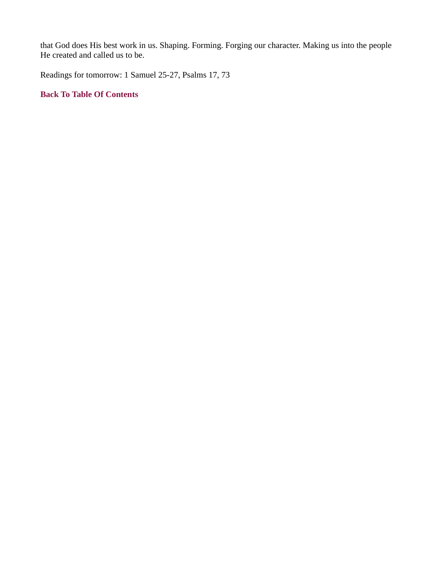that God does His best work in us. Shaping. Forming. Forging our character. Making us into the people He created and called us to be.

Readings for tomorrow: 1 Samuel 25-27, Psalms 17, 73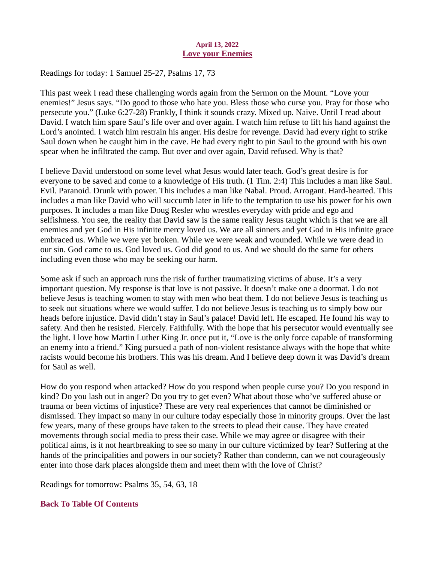### April 13, 2022 Love your Enemies

<span id="page-14-0"></span>[Readings for today: 1 Samuel 25-27, Psalms 17, 73](https://www.biblegateway.com/passage/?search=1+Samuel+25-27%2C+Psalms+17%2C+73&version=ESV)

This past week I read these challenging words again from the Sermon on the Mount. "Love your enemies!" Jesus says. "Do good to those who hate you. Bless those who curse you. Pray for those who persecute you." (Luke 6:27-28) Frankly, I think it sounds crazy. Mixed up. Naive. Until I read about David. I watch him spare Saul's life over and over again. I watch him refuse to lift his hand against the Lord's anointed. I watch him restrain his anger. His desire for revenge. David had every right to strike Saul down when he caught him in the cave. He had every right to pin Saul to the ground with his own spear when he infiltrated the camp. But over and over again, David refused. Why is that?

I believe David understood on some level what Jesus would later teach. God's great desire is for everyone to be saved and come to a knowledge of His truth. (1 Tim. 2:4) This includes a man like Saul. Evil. Paranoid. Drunk with power. This includes a man like Nabal. Proud. Arrogant. Hard-hearted. This includes a man like David who will succumb later in life to the temptation to use his power for his own purposes. It includes a man like Doug Resler who wrestles everyday with pride and ego and selfishness. You see, the reality that David saw is the same reality Jesus taught which is that we are all enemies and yet God in His infinite mercy loved us. We are all sinners and yet God in His infinite grace embraced us. While we were yet broken. While we were weak and wounded. While we were dead in our sin. God came to us. God loved us. God did good to us. And we should do the same for others including even those who may be seeking our harm.

Some ask if such an approach runs the risk of further traumatizing victims of abuse. It's a very important question. My response is that love is not passive. It doesn't make one a doormat. I do not believe Jesus is teaching women to stay with men who beat them. I do not believe Jesus is teaching us to seek out situations where we would suffer. I do not believe Jesus is teaching us to simply bow our heads before injustice. David didn't stay in Saul's palace! David left. He escaped. He found his way to safety. And then he resisted. Fiercely. Faithfully. With the hope that his persecutor would eventually see the light. I love how Martin Luther King Jr. once put it, "Love is the only force capable of transforming an enemy into a friend." King pursued a path of non-violent resistance always with the hope that white racists would become his brothers. This was his dream. And I believe deep down it was David's dream for Saul as well.

How do you respond when attacked? How do you respond when people curse you? Do you respond in kind? Do you lash out in anger? Do you try to get even? What about those who've suffered abuse or trauma or been victims of injustice? These are very real experiences that cannot be diminished or dismissed. They impact so many in our culture today especially those in minority groups. Over the last few years, many of these groups have taken to the streets to plead their cause. They have created movements through social media to press their case. While we may agree or disagree with their political aims, is it not heartbreaking to see so many in our culture victimized by fear? Suffering at the hands of the principalities and powers in our society? Rather than condemn, can we not courageously enter into those dark places alongside them and meet them with the love of Christ?

Readings for tomorrow: Psalms 35, 54, 63, 18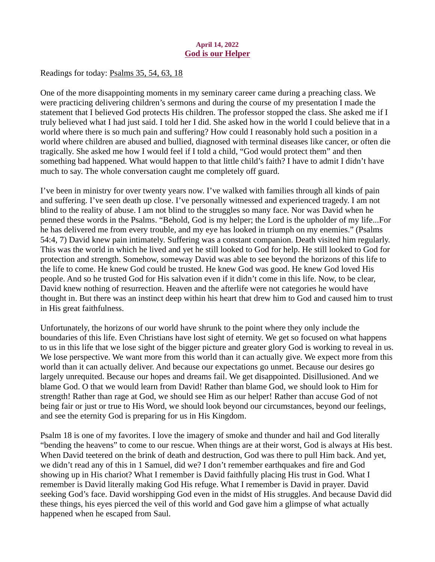## April 14, 2022 God is our Helper

<span id="page-15-0"></span>[Readings for today: Psalms 35, 54, 63, 18](https://www.biblegateway.com/passage/?search=Psalms+35%2C+54%2C+63%2C+18&version=ESV)

One of the more disappointing moments in my seminary career came during a preaching class. We were practicing delivering children's sermons and during the course of my presentation I made the statement that I believed God protects His children. The professor stopped the class. She asked me if I truly believed what I had just said. I told her I did. She asked how in the world I could believe that in a world where there is so much pain and suffering? How could I reasonably hold such a position in a world where children are abused and bullied, diagnosed with terminal diseases like cancer, or often die tragically. She asked me how I would feel if I told a child, "God would protect them" and then something bad happened. What would happen to that little child's faith? I have to admit I didn't have much to say. The whole conversation caught me completely off guard.

I've been in ministry for over twenty years now. I've walked with families through all kinds of pain and suffering. I've seen death up close. I've personally witnessed and experienced tragedy. I am not blind to the reality of abuse. I am not blind to the struggles so many face. Nor was David when he penned these words in the Psalms. "Behold, God is my helper; the Lord is the upholder of my life...For he has delivered me from every trouble, and my eye has looked in triumph on my enemies." (Psalms 54:4, 7) David knew pain intimately. Suffering was a constant companion. Death visited him regularly. This was the world in which he lived and yet he still looked to God for help. He still looked to God for protection and strength. Somehow, someway David was able to see beyond the horizons of this life to the life to come. He knew God could be trusted. He knew God was good. He knew God loved His people. And so he trusted God for His salvation even if it didn't come in this life. Now, to be clear, David knew nothing of resurrection. Heaven and the afterlife were not categories he would have thought in. But there was an instinct deep within his heart that drew him to God and caused him to trust in His great faithfulness.

Unfortunately, the horizons of our world have shrunk to the point where they only include the boundaries of this life. Even Christians have lost sight of eternity. We get so focused on what happens to us in this life that we lose sight of the bigger picture and greater glory God is working to reveal in us. We lose perspective. We want more from this world than it can actually give. We expect more from this world than it can actually deliver. And because our expectations go unmet. Because our desires go largely unrequited. Because our hopes and dreams fail. We get disappointed. Disillusioned. And we blame God. O that we would learn from David! Rather than blame God, we should look to Him for strength! Rather than rage at God, we should see Him as our helper! Rather than accuse God of not being fair or just or true to His Word, we should look beyond our circumstances, beyond our feelings, and see the eternity God is preparing for us in His Kingdom.

Psalm 18 is one of my favorites. I love the imagery of smoke and thunder and hail and God literally "bending the heavens" to come to our rescue. When things are at their worst, God is always at His best. When David teetered on the brink of death and destruction, God was there to pull Him back. And yet, we didn't read any of this in 1 Samuel, did we? I don't remember earthquakes and fire and God showing up in His chariot? What I remember is David faithfully placing His trust in God. What I remember is David literally making God His refuge. What I remember is David in prayer. David seeking God's face. David worshipping God even in the midst of His struggles. And because David did these things, his eyes pierced the veil of this world and God gave him a glimpse of what actually happened when he escaped from Saul.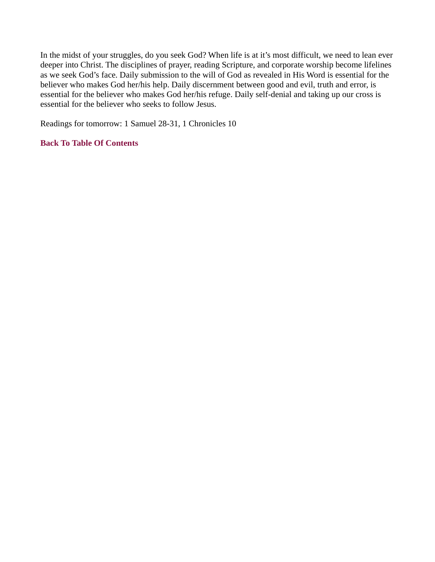In the midst of your struggles, do you seek God? When life is at it's most difficult, we need to lean ever deeper into Christ. The disciplines of prayer, reading Scripture, and corporate worship become lifelines as we seek God's face. Daily submission to the will of God as revealed in His Word is essential for the believer who makes God her/his help. Daily discernment between good and evil, truth and error, is essential for the believer who makes God her/his refuge. Daily self-denial and taking up our cross is essential for the believer who seeks to follow Jesus.

Readings for tomorrow: 1 Samuel 28-31, 1 Chronicles 10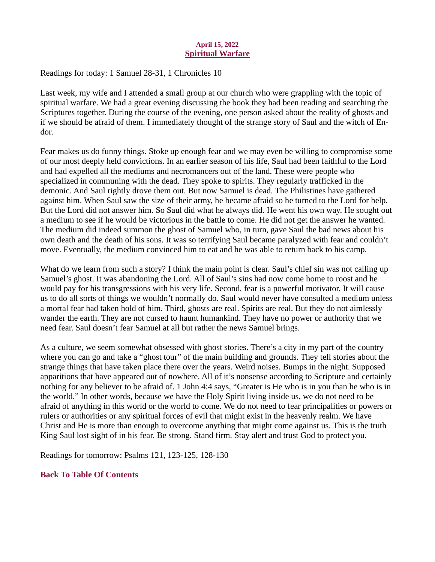## April 15, 2022 Spiritual Warfare

### <span id="page-17-0"></span>[Readings for today: 1 Samuel 28-31, 1 Chronicles 10](https://www.biblegateway.com/passage/?search=1+Samuel+28-31%2C+1+Chronicles+10&version=ESV)

Last week, my wife and I attended a small group at our church who were grappling with the topic of spiritual warfare. We had a great evening discussing the book they had been reading and searching the Scriptures together. During the course of the evening, one person asked about the reality of ghosts and if we should be afraid of them. I immediately thought of the strange story of Saul and the witch of Endor.

Fear makes us do funny things. Stoke up enough fear and we may even be willing to compromise some of our most deeply held convictions. In an earlier season of his life, Saul had been faithful to the Lord and had expelled all the mediums and necromancers out of the land. These were people who specialized in communing with the dead. They spoke to spirits. They regularly trafficked in the demonic. And Saul rightly drove them out. But now Samuel is dead. The Philistines have gathered against him. When Saul saw the size of their army, he became afraid so he turned to the Lord for help. But the Lord did not answer him. So Saul did what he always did. He went his own way. He sought out a medium to see if he would be victorious in the battle to come. He did not get the answer he wanted. The medium did indeed summon the ghost of Samuel who, in turn, gave Saul the bad news about his own death and the death of his sons. It was so terrifying Saul became paralyzed with fear and couldn't move. Eventually, the medium convinced him to eat and he was able to return back to his camp.

What do we learn from such a story? I think the main point is clear. Saul's chief sin was not calling up Samuel's ghost. It was abandoning the Lord. All of Saul's sins had now come home to roost and he would pay for his transgressions with his very life. Second, fear is a powerful motivator. It will cause us to do all sorts of things we wouldn't normally do. Saul would never have consulted a medium unless a mortal fear had taken hold of him. Third, ghosts are real. Spirits are real. But they do not aimlessly wander the earth. They are not cursed to haunt humankind. They have no power or authority that we need fear. Saul doesn't fear Samuel at all but rather the news Samuel brings.

As a culture, we seem somewhat obsessed with ghost stories. There's a city in my part of the country where you can go and take a "ghost tour" of the main building and grounds. They tell stories about the strange things that have taken place there over the years. Weird noises. Bumps in the night. Supposed apparitions that have appeared out of nowhere. All of it's nonsense according to Scripture and certainly nothing for any believer to be afraid of. 1 John 4:4 says, "Greater is He who is in you than he who is in the world." In other words, because we have the Holy Spirit living inside us, we do not need to be afraid of anything in this world or the world to come. We do not need to fear principalities or powers or rulers or authorities or any spiritual forces of evil that might exist in the heavenly realm. We have Christ and He is more than enough to overcome anything that might come against us. This is the truth King Saul lost sight of in his fear. Be strong. Stand firm. Stay alert and trust God to protect you.

Readings for tomorrow: Psalms 121, 123-125, 128-130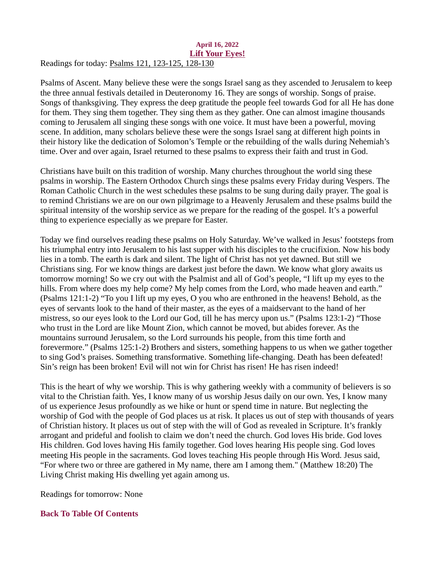### <span id="page-18-0"></span>April 16, 2022 Lift Your Eyes! [Readings for today: Psalms 121, 123-125, 128-130](https://www.biblegateway.com/passage/?search=Psalms+121%2C+123-125%2C+128-130&version=ESV)

Psalms of Ascent. Many believe these were the songs Israel sang as they ascended to Jerusalem to keep the three annual festivals detailed in Deuteronomy 16. They are songs of worship. Songs of praise. Songs of thanksgiving. They express the deep gratitude the people feel towards God for all He has done for them. They sing them together. They sing them as they gather. One can almost imagine thousands coming to Jerusalem all singing these songs with one voice. It must have been a powerful, moving scene. In addition, many scholars believe these were the songs Israel sang at different high points in their history like the dedication of Solomon's Temple or the rebuilding of the walls during Nehemiah's time. Over and over again, Israel returned to these psalms to express their faith and trust in God.

Christians have built on this tradition of worship. Many churches throughout the world sing these psalms in worship. The Eastern Orthodox Church sings these psalms every Friday during Vespers. The Roman Catholic Church in the west schedules these psalms to be sung during daily prayer. The goal is to remind Christians we are on our own pilgrimage to a Heavenly Jerusalem and these psalms build the spiritual intensity of the worship service as we prepare for the reading of the gospel. It's a powerful thing to experience especially as we prepare for Easter.

Today we find ourselves reading these psalms on Holy Saturday. We've walked in Jesus' footsteps from his triumphal entry into Jerusalem to his last supper with his disciples to the crucifixion. Now his body lies in a tomb. The earth is dark and silent. The light of Christ has not yet dawned. But still we Christians sing. For we know things are darkest just before the dawn. We know what glory awaits us tomorrow morning! So we cry out with the Psalmist and all of God's people, "I lift up my eyes to the hills. From where does my help come? My help comes from the Lord, who made heaven and earth." (Psalms 121:1-2) "To you I lift up my eyes, O you who are enthroned in the heavens! Behold, as the eyes of servants look to the hand of their master, as the eyes of a maidservant to the hand of her mistress, so our eyes look to the Lord our God, till he has mercy upon us." (Psalms 123:1-2) "Those who trust in the Lord are like Mount Zion, which cannot be moved, but abides forever. As the mountains surround Jerusalem, so the Lord surrounds his people, from this time forth and forevermore." (Psalms 125:1-2) Brothers and sisters, something happens to us when we gather together to sing God's praises. Something transformative. Something life-changing. Death has been defeated! Sin's reign has been broken! Evil will not win for Christ has risen! He has risen indeed!

This is the heart of why we worship. This is why gathering weekly with a community of believers is so vital to the Christian faith. Yes, I know many of us worship Jesus daily on our own. Yes, I know many of us experience Jesus profoundly as we hike or hunt or spend time in nature. But neglecting the worship of God with the people of God places us at risk. It places us out of step with thousands of years of Christian history. It places us out of step with the will of God as revealed in Scripture. It's frankly arrogant and prideful and foolish to claim we don't need the church. God loves His bride. God loves His children. God loves having His family together. God loves hearing His people sing. God loves meeting His people in the sacraments. God loves teaching His people through His Word. Jesus said, "For where two or three are gathered in My name, there am I among them." (Matthew 18:20) The Living Christ making His dwelling yet again among us.

Readings for tomorrow: None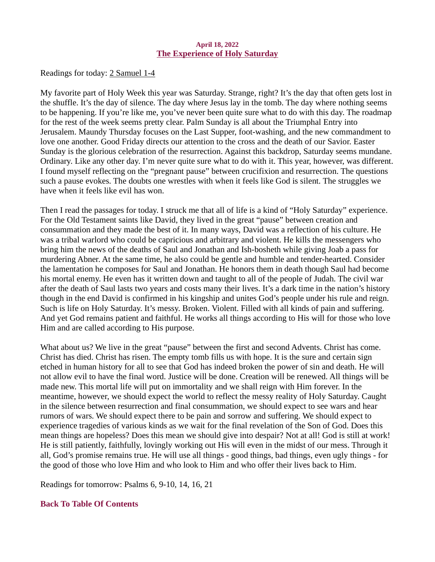### April 18, 2022 The Experience of Holy Saturday

<span id="page-19-0"></span>[Readings for today: 2 Samuel 1-4](https://www.biblegateway.com/passage/?search=2+Samuel+1-4&version=ESV)

My favorite part of Holy Week this year was Saturday. Strange, right? It's the day that often gets lost in the shuffle. It's the day of silence. The day where Jesus lay in the tomb. The day where nothing seems to be happening. If you're like me, you've never been quite sure what to do with this day. The roadmap for the rest of the week seems pretty clear. Palm Sunday is all about the Triumphal Entry into Jerusalem. Maundy Thursday focuses on the Last Supper, foot-washing, and the new commandment to love one another. Good Friday directs our attention to the cross and the death of our Savior. Easter Sunday is the glorious celebration of the resurrection. Against this backdrop, Saturday seems mundane. Ordinary. Like any other day. I'm never quite sure what to do with it. This year, however, was different. I found myself reflecting on the "pregnant pause" between crucifixion and resurrection. The questions such a pause evokes. The doubts one wrestles with when it feels like God is silent. The struggles we have when it feels like evil has won.

Then I read the passages for today. I struck me that all of life is a kind of "Holy Saturday" experience. For the Old Testament saints like David, they lived in the great "pause" between creation and consummation and they made the best of it. In many ways, David was a reflection of his culture. He was a tribal warlord who could be capricious and arbitrary and violent. He kills the messengers who bring him the news of the deaths of Saul and Jonathan and Ish-bosheth while giving Joab a pass for murdering Abner. At the same time, he also could be gentle and humble and tender-hearted. Consider the lamentation he composes for Saul and Jonathan. He honors them in death though Saul had become his mortal enemy. He even has it written down and taught to all of the people of Judah. The civil war after the death of Saul lasts two years and costs many their lives. It's a dark time in the nation's history though in the end David is confirmed in his kingship and unites God's people under his rule and reign. Such is life on Holy Saturday. It's messy. Broken. Violent. Filled with all kinds of pain and suffering. And yet God remains patient and faithful. He works all things according to His will for those who love Him and are called according to His purpose.

What about us? We live in the great "pause" between the first and second Advents. Christ has come. Christ has died. Christ has risen. The empty tomb fills us with hope. It is the sure and certain sign etched in human history for all to see that God has indeed broken the power of sin and death. He will not allow evil to have the final word. Justice will be done. Creation will be renewed. All things will be made new. This mortal life will put on immortality and we shall reign with Him forever. In the meantime, however, we should expect the world to reflect the messy reality of Holy Saturday. Caught in the silence between resurrection and final consummation, we should expect to see wars and hear rumors of wars. We should expect there to be pain and sorrow and suffering. We should expect to experience tragedies of various kinds as we wait for the final revelation of the Son of God. Does this mean things are hopeless? Does this mean we should give into despair? Not at all! God is still at work! He is still patiently, faithfully, lovingly working out His will even in the midst of our mess. Through it all, God's promise remains true. He will use all things - good things, bad things, even ugly things - for the good of those who love Him and who look to Him and who offer their lives back to Him.

Readings for tomorrow: Psalms 6, 9-10, 14, 16, 21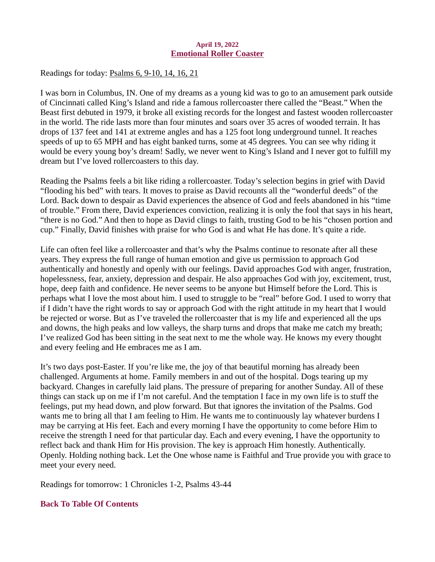### April 19, 2022 Emotional Roller Coaster

<span id="page-20-0"></span>[Readings for today: Psalms 6, 9-10, 14, 16, 21](https://www.biblegateway.com/passage/?search=Psalms+6%2C+9-10%2C+14%2C+16%2C+21&version=ESV)

I was born in Columbus, IN. One of my dreams as a young kid was to go to an amusement park outside of Cincinnati called King's Island and ride a famous rollercoaster there called the "Beast." When the Beast first debuted in 1979, it broke all existing records for the longest and fastest wooden rollercoaster in the world. The ride lasts more than four minutes and soars over 35 acres of wooded terrain. It has drops of 137 feet and 141 at extreme angles and has a 125 foot long underground tunnel. It reaches speeds of up to 65 MPH and has eight banked turns, some at 45 degrees. You can see why riding it would be every young boy's dream! Sadly, we never went to King's Island and I never got to fulfill my dream but I've loved rollercoasters to this day.

Reading the Psalms feels a bit like riding a rollercoaster. Today's selection begins in grief with David "flooding his bed" with tears. It moves to praise as David recounts all the "wonderful deeds" of the Lord. Back down to despair as David experiences the absence of God and feels abandoned in his "time of trouble." From there, David experiences conviction, realizing it is only the fool that says in his heart, "there is no God." And then to hope as David clings to faith, trusting God to be his "chosen portion and cup." Finally, David finishes with praise for who God is and what He has done. It's quite a ride.

Life can often feel like a rollercoaster and that's why the Psalms continue to resonate after all these years. They express the full range of human emotion and give us permission to approach God authentically and honestly and openly with our feelings. David approaches God with anger, frustration, hopelessness, fear, anxiety, depression and despair. He also approaches God with joy, excitement, trust, hope, deep faith and confidence. He never seems to be anyone but Himself before the Lord. This is perhaps what I love the most about him. I used to struggle to be "real" before God. I used to worry that if I didn't have the right words to say or approach God with the right attitude in my heart that I would be rejected or worse. But as I've traveled the rollercoaster that is my life and experienced all the ups and downs, the high peaks and low valleys, the sharp turns and drops that make me catch my breath; I've realized God has been sitting in the seat next to me the whole way. He knows my every thought and every feeling and He embraces me as I am.

It's two days post-Easter. If you're like me, the joy of that beautiful morning has already been challenged. Arguments at home. Family members in and out of the hospital. Dogs tearing up my backyard. Changes in carefully laid plans. The pressure of preparing for another Sunday. All of these things can stack up on me if I'm not careful. And the temptation I face in my own life is to stuff the feelings, put my head down, and plow forward. But that ignores the invitation of the Psalms. God wants me to bring all that I am feeling to Him. He wants me to continuously lay whatever burdens I may be carrying at His feet. Each and every morning I have the opportunity to come before Him to receive the strength I need for that particular day. Each and every evening, I have the opportunity to reflect back and thank Him for His provision. The key is approach Him honestly. Authentically. Openly. Holding nothing back. Let the One whose name is Faithful and True provide you with grace to meet your every need.

Readings for tomorrow: 1 Chronicles 1-2, Psalms 43-44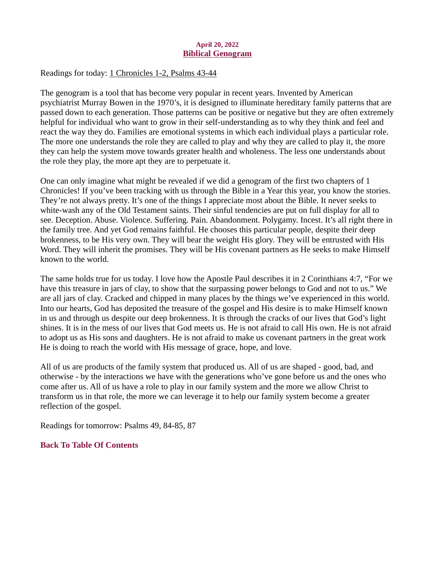## April 20, 2022 Biblical Genogram

<span id="page-21-0"></span>[Readings for today: 1 Chronicles 1-2, Psalms 43-44](https://www.biblegateway.com/passage/?search=1+Chronicles+1-2%2C+Psalms+43-44&version=ESV)

The genogram is a tool that has become very popular in recent years. Invented by American psychiatrist Murray Bowen in the 1970's, it is designed to illuminate hereditary family patterns that are passed down to each generation. Those patterns can be positive or negative but they are often extremely helpful for individual who want to grow in their self-understanding as to why they think and feel and react the way they do. Families are emotional systems in which each individual plays a particular role. The more one understands the role they are called to play and why they are called to play it, the more they can help the system move towards greater health and wholeness. The less one understands about the role they play, the more apt they are to perpetuate it.

One can only imagine what might be revealed if we did a genogram of the first two chapters of 1 Chronicles! If you've been tracking with us through the Bible in a Year this year, you know the stories. They're not always pretty. It's one of the things I appreciate most about the Bible. It never seeks to white-wash any of the Old Testament saints. Their sinful tendencies are put on full display for all to see. Deception. Abuse. Violence. Suffering. Pain. Abandonment. Polygamy. Incest. It's all right there in the family tree. And yet God remains faithful. He chooses this particular people, despite their deep brokenness, to be His very own. They will bear the weight His glory. They will be entrusted with His Word. They will inherit the promises. They will be His covenant partners as He seeks to make Himself known to the world.

The same holds true for us today. I love how the Apostle Paul describes it in 2 Corinthians 4:7, "For we have this treasure in jars of clay, to show that the surpassing power belongs to God and not to us." We are all jars of clay. Cracked and chipped in many places by the things we've experienced in this world. Into our hearts, God has deposited the treasure of the gospel and His desire is to make Himself known in us and through us despite our deep brokenness. It is through the cracks of our lives that God's light shines. It is in the mess of our lives that God meets us. He is not afraid to call His own. He is not afraid to adopt us as His sons and daughters. He is not afraid to make us covenant partners in the great work He is doing to reach the world with His message of grace, hope, and love.

All of us are products of the family system that produced us. All of us are shaped - good, bad, and otherwise - by the interactions we have with the generations who've gone before us and the ones who come after us. All of us have a role to play in our family system and the more we allow Christ to transform us in that role, the more we can leverage it to help our family system become a greater reflection of the gospel.

Readings for tomorrow: Psalms 49, 84-85, 87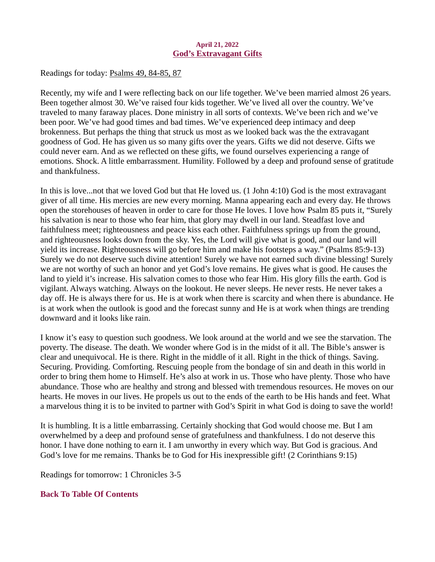### April 21, 2022 God's Extravagant Gifts

<span id="page-22-0"></span>[Readings for today: Psalms 49, 84-85, 87](https://www.biblegateway.com/passage/?search=Psalms+49%2C+84-85%2C+87&version=ESV)

Recently, my wife and I were reflecting back on our life together. We've been married almost 26 years. Been together almost 30. We've raised four kids together. We've lived all over the country. We've traveled to many faraway places. Done ministry in all sorts of contexts. We've been rich and we've been poor. We've had good times and bad times. We've experienced deep intimacy and deep brokenness. But perhaps the thing that struck us most as we looked back was the the extravagant goodness of God. He has given us so many gifts over the years. Gifts we did not deserve. Gifts we could never earn. And as we reflected on these gifts, we found ourselves experiencing a range of emotions. Shock. A little embarrassment. Humility. Followed by a deep and profound sense of gratitude and thankfulness.

In this is love...not that we loved God but that He loved us. (1 John 4:10) God is the most extravagant giver of all time. His mercies are new every morning. Manna appearing each and every day. He throws open the storehouses of heaven in order to care for those He loves. I love how Psalm 85 puts it, "Surely his salvation is near to those who fear him, that glory may dwell in our land. Steadfast love and faithfulness meet; righteousness and peace kiss each other. Faithfulness springs up from the ground, and righteousness looks down from the sky. Yes, the Lord will give what is good, and our land will yield its increase. Righteousness will go before him and make his footsteps a way." (Psalms 85:9-13) Surely we do not deserve such divine attention! Surely we have not earned such divine blessing! Surely we are not worthy of such an honor and yet God's love remains. He gives what is good. He causes the land to yield it's increase. His salvation comes to those who fear Him. His glory fills the earth. God is vigilant. Always watching. Always on the lookout. He never sleeps. He never rests. He never takes a day off. He is always there for us. He is at work when there is scarcity and when there is abundance. He is at work when the outlook is good and the forecast sunny and He is at work when things are trending downward and it looks like rain.

I know it's easy to question such goodness. We look around at the world and we see the starvation. The poverty. The disease. The death. We wonder where God is in the midst of it all. The Bible's answer is clear and unequivocal. He is there. Right in the middle of it all. Right in the thick of things. Saving. Securing. Providing. Comforting. Rescuing people from the bondage of sin and death in this world in order to bring them home to Himself. He's also at work in us. Those who have plenty. Those who have abundance. Those who are healthy and strong and blessed with tremendous resources. He moves on our hearts. He moves in our lives. He propels us out to the ends of the earth to be His hands and feet. What a marvelous thing it is to be invited to partner with God's Spirit in what God is doing to save the world!

It is humbling. It is a little embarrassing. Certainly shocking that God would choose me. But I am overwhelmed by a deep and profound sense of gratefulness and thankfulness. I do not deserve this honor. I have done nothing to earn it. I am unworthy in every which way. But God is gracious. And God's love for me remains. Thanks be to God for His inexpressible gift! (2 Corinthians 9:15)

Readings for tomorrow: 1 Chronicles 3-5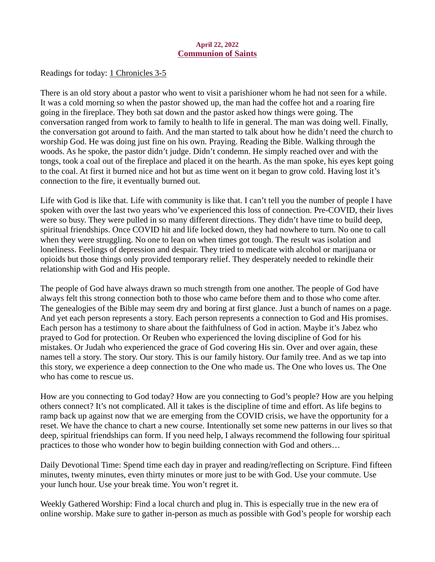### April 22, 2022 Communion of Saints

<span id="page-23-0"></span>[Readings for today: 1 Chronicles 3-5](https://www.biblegateway.com/passage/?search=1+Chronicles+3-5&version=ESV)

There is an old story about a pastor who went to visit a parishioner whom he had not seen for a while. It was a cold morning so when the pastor showed up, the man had the coffee hot and a roaring fire going in the fireplace. They both sat down and the pastor asked how things were going. The conversation ranged from work to family to health to life in general. The man was doing well. Finally, the conversation got around to faith. And the man started to talk about how he didn't need the church to worship God. He was doing just fine on his own. Praying. Reading the Bible. Walking through the woods. As he spoke, the pastor didn't judge. Didn't condemn. He simply reached over and with the tongs, took a coal out of the fireplace and placed it on the hearth. As the man spoke, his eyes kept going to the coal. At first it burned nice and hot but as time went on it began to grow cold. Having lost it's connection to the fire, it eventually burned out.

Life with God is like that. Life with community is like that. I can't tell you the number of people I have spoken with over the last two years who've experienced this loss of connection. Pre-COVID, their lives were so busy. They were pulled in so many different directions. They didn't have time to build deep, spiritual friendships. Once COVID hit and life locked down, they had nowhere to turn. No one to call when they were struggling. No one to lean on when times got tough. The result was isolation and loneliness. Feelings of depression and despair. They tried to medicate with alcohol or marijuana or opioids but those things only provided temporary relief. They desperately needed to rekindle their relationship with God and His people.

The people of God have always drawn so much strength from one another. The people of God have always felt this strong connection both to those who came before them and to those who come after. The genealogies of the Bible may seem dry and boring at first glance. Just a bunch of names on a page. And yet each person represents a story. Each person represents a connection to God and His promises. Each person has a testimony to share about the faithfulness of God in action. Maybe it's Jabez who prayed to God for protection. Or Reuben who experienced the loving discipline of God for his mistakes. Or Judah who experienced the grace of God covering His sin. Over and over again, these names tell a story. The story. Our story. This is our family history. Our family tree. And as we tap into this story, we experience a deep connection to the One who made us. The One who loves us. The One who has come to rescue us.

How are you connecting to God today? How are you connecting to God's people? How are you helping others connect? It's not complicated. All it takes is the discipline of time and effort. As life begins to ramp back up against now that we are emerging from the COVID crisis, we have the opportunity for a reset. We have the chance to chart a new course. Intentionally set some new patterns in our lives so that deep, spiritual friendships can form. If you need help, I always recommend the following four spiritual practices to those who wonder how to begin building connection with God and others…

Daily Devotional Time: Spend time each day in prayer and reading/reflecting on Scripture. Find fifteen minutes, twenty minutes, even thirty minutes or more just to be with God. Use your commute. Use your lunch hour. Use your break time. You won't regret it.

Weekly Gathered Worship: Find a local church and plug in. This is especially true in the new era of online worship. Make sure to gather in-person as much as possible with God's people for worship each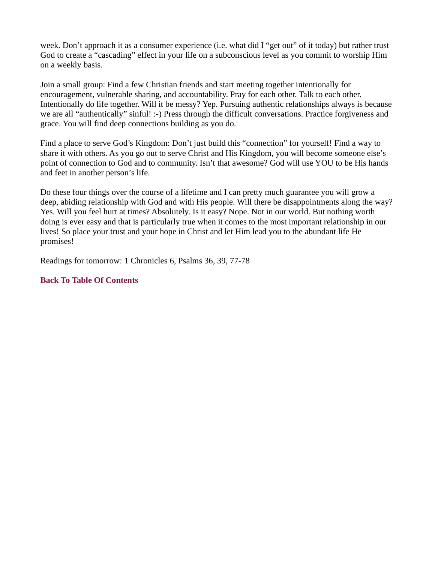week. Don't approach it as a consumer experience (i.e. what did I "get out" of it today) but rather trust God to create a "cascading" effect in your life on a subconscious level as you commit to worship Him on a weekly basis.

Join a small group: Find a few Christian friends and start meeting together intentionally for encouragement, vulnerable sharing, and accountability. Pray for each other. Talk to each other. Intentionally do life together. Will it be messy? Yep. Pursuing authentic relationships always is because we are all "authentically" sinful! :-) Press through the difficult conversations. Practice forgiveness and grace. You will find deep connections building as you do.

Find a place to serve God's Kingdom: Don't just build this "connection" for yourself! Find a way to share it with others. As you go out to serve Christ and His Kingdom, you will become someone else's point of connection to God and to community. Isn't that awesome? God will use YOU to be His hands and feet in another person's life.

Do these four things over the course of a lifetime and I can pretty much guarantee you will grow a deep, abiding relationship with God and with His people. Will there be disappointments along the way? Yes. Will you feel hurt at times? Absolutely. Is it easy? Nope. Not in our world. But nothing worth doing is ever easy and that is particularly true when it comes to the most important relationship in our lives! So place your trust and your hope in Christ and let Him lead you to the abundant life He promises!

Readings for tomorrow: 1 Chronicles 6, Psalms 36, 39, 77-78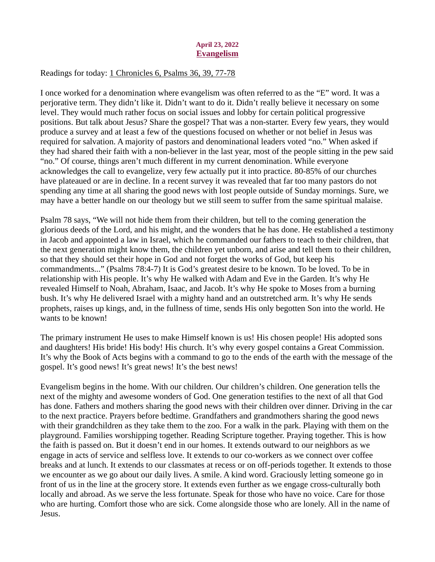## April 23, 2022 Evangelism

# <span id="page-25-0"></span>[Readings for today: 1 Chronicles 6, Psalms 36, 39, 77-78](https://www.biblegateway.com/passage/?search=1+Chronicles+6%2C+Psalms+36%2C+39%2C+77-78&version=ESV)

I once worked for a denomination where evangelism was often referred to as the "E" word. It was a perjorative term. They didn't like it. Didn't want to do it. Didn't really believe it necessary on some level. They would much rather focus on social issues and lobby for certain political progressive positions. But talk about Jesus? Share the gospel? That was a non-starter. Every few years, they would produce a survey and at least a few of the questions focused on whether or not belief in Jesus was required for salvation. A majority of pastors and denominational leaders voted "no." When asked if they had shared their faith with a non-believer in the last year, most of the people sitting in the pew said "no." Of course, things aren't much different in my current denomination. While everyone acknowledges the call to evangelize, very few actually put it into practice. 80-85% of our churches have plateaued or are in decline. In a recent survey it was revealed that far too many pastors do not spending any time at all sharing the good news with lost people outside of Sunday mornings. Sure, we may have a better handle on our theology but we still seem to suffer from the same spiritual malaise.

Psalm 78 says, "We will not hide them from their children, but tell to the coming generation the glorious deeds of the Lord, and his might, and the wonders that he has done. He established a testimony in Jacob and appointed a law in Israel, which he commanded our fathers to teach to their children, that the next generation might know them, the children yet unborn, and arise and tell them to their children, so that they should set their hope in God and not forget the works of God, but keep his commandments..." (Psalms 78:4-7) It is God's greatest desire to be known. To be loved. To be in relationship with His people. It's why He walked with Adam and Eve in the Garden. It's why He revealed Himself to Noah, Abraham, Isaac, and Jacob. It's why He spoke to Moses from a burning bush. It's why He delivered Israel with a mighty hand and an outstretched arm. It's why He sends prophets, raises up kings, and, in the fullness of time, sends His only begotten Son into the world. He wants to be known!

The primary instrument He uses to make Himself known is us! His chosen people! His adopted sons and daughters! His bride! His body! His church. It's why every gospel contains a Great Commission. It's why the Book of Acts begins with a command to go to the ends of the earth with the message of the gospel. It's good news! It's great news! It's the best news!

Evangelism begins in the home. With our children. Our children's children. One generation tells the next of the mighty and awesome wonders of God. One generation testifies to the next of all that God has done. Fathers and mothers sharing the good news with their children over dinner. Driving in the car to the next practice. Prayers before bedtime. Grandfathers and grandmothers sharing the good news with their grandchildren as they take them to the zoo. For a walk in the park. Playing with them on the playground. Families worshipping together. Reading Scripture together. Praying together. This is how the faith is passed on. But it doesn't end in our homes. It extends outward to our neighbors as we engage in acts of service and selfless love. It extends to our co-workers as we connect over coffee breaks and at lunch. It extends to our classmates at recess or on off-periods together. It extends to those we encounter as we go about our daily lives. A smile. A kind word. Graciously letting someone go in front of us in the line at the grocery store. It extends even further as we engage cross-culturally both locally and abroad. As we serve the less fortunate. Speak for those who have no voice. Care for those who are hurting. Comfort those who are sick. Come alongside those who are lonely. All in the name of Jesus.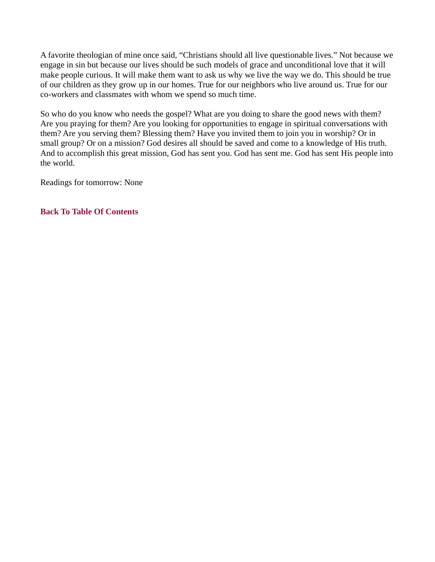A favorite theologian of mine once said, "Christians should all live questionable lives." Not because we engage in sin but because our lives should be such models of grace and unconditional love that it will make people curious. It will make them want to ask us why we live the way we do. This should be true of our children as they grow up in our homes. True for our neighbors who live around us. True for our co-workers and classmates with whom we spend so much time.

So who do you know who needs the gospel? What are you doing to share the good news with them? Are you praying for them? Are you looking for opportunities to engage in spiritual conversations with them? Are you serving them? Blessing them? Have you invited them to join you in worship? Or in small group? Or on a mission? God desires all should be saved and come to a knowledge of His truth. And to accomplish this great mission, God has sent you. God has sent me. God has sent His people into the world.

Readings for tomorrow: None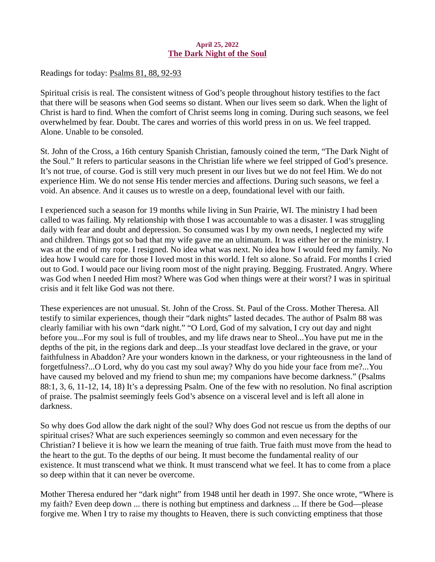### April 25, 2022 The Dark Night of the Soul

<span id="page-27-0"></span>[Readings for today: Psalms 81, 88, 92-93](https://www.biblegateway.com/passage/?search=Psalms+81%2C+88%2C+92-93&version=ESV)

Spiritual crisis is real. The consistent witness of God's people throughout history testifies to the fact that there will be seasons when God seems so distant. When our lives seem so dark. When the light of Christ is hard to find. When the comfort of Christ seems long in coming. During such seasons, we feel overwhelmed by fear. Doubt. The cares and worries of this world press in on us. We feel trapped. Alone. Unable to be consoled.

St. John of the Cross, a 16th century Spanish Christian, famously coined the term, "The Dark Night of the Soul." It refers to particular seasons in the Christian life where we feel stripped of God's presence. It's not true, of course. God is still very much present in our lives but we do not feel Him. We do not experience Him. We do not sense His tender mercies and affections. During such seasons, we feel a void. An absence. And it causes us to wrestle on a deep, foundational level with our faith.

I experienced such a season for 19 months while living in Sun Prairie, WI. The ministry I had been called to was failing. My relationship with those I was accountable to was a disaster. I was struggling daily with fear and doubt and depression. So consumed was I by my own needs, I neglected my wife and children. Things got so bad that my wife gave me an ultimatum. It was either her or the ministry. I was at the end of my rope. I resigned. No idea what was next. No idea how I would feed my family. No idea how I would care for those I loved most in this world. I felt so alone. So afraid. For months I cried out to God. I would pace our living room most of the night praying. Begging. Frustrated. Angry. Where was God when I needed Him most? Where was God when things were at their worst? I was in spiritual crisis and it felt like God was not there.

These experiences are not unusual. St. John of the Cross. St. Paul of the Cross. Mother Theresa. All testify to similar experiences, though their "dark nights" lasted decades. The author of Psalm 88 was clearly familiar with his own "dark night." "O Lord, God of my salvation, I cry out day and night before you...For my soul is full of troubles, and my life draws near to Sheol...You have put me in the depths of the pit, in the regions dark and deep...Is your steadfast love declared in the grave, or your faithfulness in Abaddon? Are your wonders known in the darkness, or your righteousness in the land of forgetfulness?...O Lord, why do you cast my soul away? Why do you hide your face from me?...You have caused my beloved and my friend to shun me; my companions have become darkness." (Psalms 88:1, 3, 6, 11-12, 14, 18) It's a depressing Psalm. One of the few with no resolution. No final ascription of praise. The psalmist seemingly feels God's absence on a visceral level and is left all alone in darkness.

So why does God allow the dark night of the soul? Why does God not rescue us from the depths of our spiritual crises? What are such experiences seemingly so common and even necessary for the Christian? I believe it is how we learn the meaning of true faith. True faith must move from the head to the heart to the gut. To the depths of our being. It must become the fundamental reality of our existence. It must transcend what we think. It must transcend what we feel. It has to come from a place so deep within that it can never be overcome.

Mother Theresa endured her "dark night" from 1948 until her death in 1997. She once wrote, "Where is my faith? Even deep down ... there is nothing but emptiness and darkness ... If there be God—please forgive me. When I try to raise my thoughts to Heaven, there is such convicting emptiness that those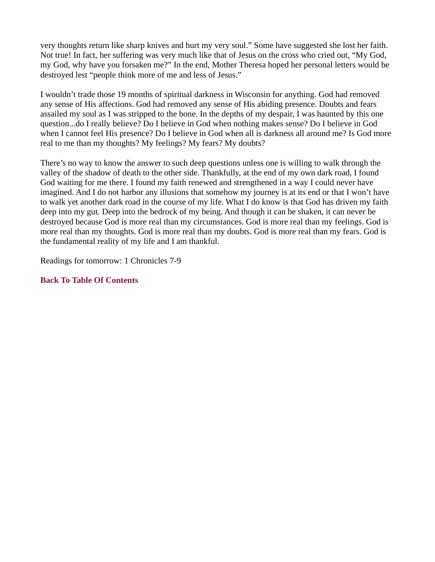very thoughts return like sharp knives and hurt my very soul." Some have suggested she lost her faith. Not true! In fact, her suffering was very much like that of Jesus on the cross who cried out, "My God, my God, why have you forsaken me?" In the end, Mother Theresa hoped her personal letters would be destroyed lest "people think more of me and less of Jesus."

I wouldn't trade those 19 months of spiritual darkness in Wisconsin for anything. God had removed any sense of His affections. God had removed any sense of His abiding presence. Doubts and fears assailed my soul as I was stripped to the bone. In the depths of my despair, I was haunted by this one question...do I really believe? Do I believe in God when nothing makes sense? Do I believe in God when I cannot feel His presence? Do I believe in God when all is darkness all around me? Is God more real to me than my thoughts? My feelings? My fears? My doubts?

There's no way to know the answer to such deep questions unless one is willing to walk through the valley of the shadow of death to the other side. Thankfully, at the end of my own dark road, I found God waiting for me there. I found my faith renewed and strengthened in a way I could never have imagined. And I do not harbor any illusions that somehow my journey is at its end or that I won't have to walk yet another dark road in the course of my life. What I do know is that God has driven my faith deep into my gut. Deep into the bedrock of my being. And though it can be shaken, it can never be destroyed because God is more real than my circumstances. God is more real than my feelings. God is more real than my thoughts. God is more real than my doubts. God is more real than my fears. God is the fundamental reality of my life and I am thankful.

Readings for tomorrow: 1 Chronicles 7-9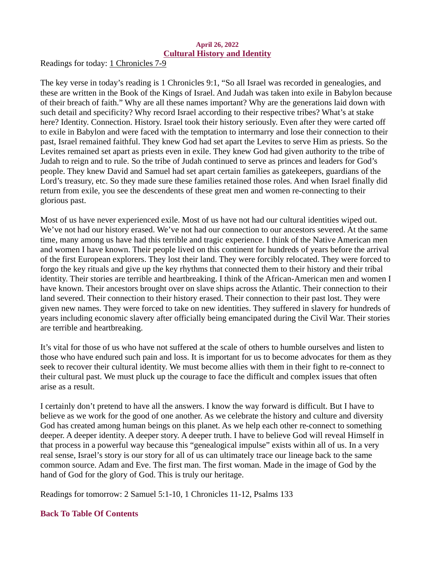### April 26, 2022 Cultural History and Identity

<span id="page-29-0"></span>[Readings for today: 1 Chronicles 7-9](https://www.biblegateway.com/passage/?search=1+Chronicles+7-9&version=ESV)

The key verse in today's reading is 1 Chronicles 9:1, "So all Israel was recorded in genealogies, and these are written in the Book of the Kings of Israel. And Judah was taken into exile in Babylon because of their breach of faith." Why are all these names important? Why are the generations laid down with such detail and specificity? Why record Israel according to their respective tribes? What's at stake here? Identity. Connection. History. Israel took their history seriously. Even after they were carted off to exile in Babylon and were faced with the temptation to intermarry and lose their connection to their past, Israel remained faithful. They knew God had set apart the Levites to serve Him as priests. So the Levites remained set apart as priests even in exile. They knew God had given authority to the tribe of Judah to reign and to rule. So the tribe of Judah continued to serve as princes and leaders for God's people. They knew David and Samuel had set apart certain families as gatekeepers, guardians of the Lord's treasury, etc. So they made sure these families retained those roles. And when Israel finally did return from exile, you see the descendents of these great men and women re-connecting to their glorious past.

Most of us have never experienced exile. Most of us have not had our cultural identities wiped out. We've not had our history erased. We've not had our connection to our ancestors severed. At the same time, many among us have had this terrible and tragic experience. I think of the Native American men and women I have known. Their people lived on this continent for hundreds of years before the arrival of the first European explorers. They lost their land. They were forcibly relocated. They were forced to forgo the key rituals and give up the key rhythms that connected them to their history and their tribal identity. Their stories are terrible and heartbreaking. I think of the African-American men and women I have known. Their ancestors brought over on slave ships across the Atlantic. Their connection to their land severed. Their connection to their history erased. Their connection to their past lost. They were given new names. They were forced to take on new identities. They suffered in slavery for hundreds of years including economic slavery after officially being emancipated during the Civil War. Their stories are terrible and heartbreaking.

It's vital for those of us who have not suffered at the scale of others to humble ourselves and listen to those who have endured such pain and loss. It is important for us to become advocates for them as they seek to recover their cultural identity. We must become allies with them in their fight to re-connect to their cultural past. We must pluck up the courage to face the difficult and complex issues that often arise as a result.

I certainly don't pretend to have all the answers. I know the way forward is difficult. But I have to believe as we work for the good of one another. As we celebrate the history and culture and diversity God has created among human beings on this planet. As we help each other re-connect to something deeper. A deeper identity. A deeper story. A deeper truth. I have to believe God will reveal Himself in that process in a powerful way because this "genealogical impulse" exists within all of us. In a very real sense, Israel's story is our story for all of us can ultimately trace our lineage back to the same common source. Adam and Eve. The first man. The first woman. Made in the image of God by the hand of God for the glory of God. This is truly our heritage.

Readings for tomorrow: 2 Samuel 5:1-10, 1 Chronicles 11-12, Psalms 133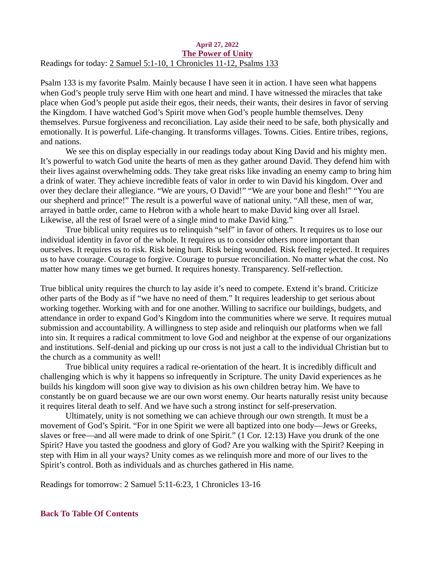#### <span id="page-30-0"></span>April 27, 2022 The Power of Unity [Readings for today: 2 Samuel 5:1-10, 1 Chronicles 11-12, Psalms 133](https://www.biblegateway.com/passage/?search=2+Samuel+5%3A1-10%2C+1+Chronicles+11-12%2C+Psalms+133&version=ESV)

Psalm 133 is my favorite Psalm. Mainly because I have seen it in action. I have seen what happens when God's people truly serve Him with one heart and mind. I have witnessed the miracles that take place when God's people put aside their egos, their needs, their wants, their desires in favor of serving the Kingdom. I have watched God's Spirit move when God's people humble themselves. Deny themselves. Pursue forgiveness and reconciliation. Lay aside their need to be safe, both physically and emotionally. It is powerful. Life-changing. It transforms villages. Towns. Cities. Entire tribes, regions, and nations.

We see this on display especially in our readings today about King David and his mighty men. It's powerful to watch God unite the hearts of men as they gather around David. They defend him with their lives against overwhelming odds. They take great risks like invading an enemy camp to bring him a drink of water. They achieve incredible feats of valor in order to win David his kingdom. Over and over they declare their allegiance. "We are yours, O David!" "We are your bone and flesh!" "You are our shepherd and prince!" The result is a powerful wave of national unity. "All these, men of war, arrayed in battle order, came to Hebron with a whole heart to make David king over all Israel. Likewise, all the rest of Israel were of a single mind to make David king."

True biblical unity requires us to relinquish "self" in favor of others. It requires us to lose our individual identity in favor of the whole. It requires us to consider others more important than ourselves. It requires us to risk. Risk being hurt. Risk being wounded. Risk feeling rejected. It requires us to have courage. Courage to forgive. Courage to pursue reconciliation. No matter what the cost. No matter how many times we get burned. It requires honesty. Transparency. Self-reflection.

True biblical unity requires the church to lay aside it's need to compete. Extend it's brand. Criticize other parts of the Body as if "we have no need of them." It requires leadership to get serious about working together. Working with and for one another. Willing to sacrifice our buildings, budgets, and attendance in order to expand God's Kingdom into the communities where we serve. It requires mutual submission and accountability. A willingness to step aside and relinquish our platforms when we fall into sin. It requires a radical commitment to love God and neighbor at the expense of our organizations and institutions. Self-denial and picking up our cross is not just a call to the individual Christian but to the church as a community as well!

True biblical unity requires a radical re-orientation of the heart. It is incredibly difficult and challenging which is why it happens so infrequently in Scripture. The unity David experiences as he builds his kingdom will soon give way to division as his own children betray him. We have to constantly be on guard because we are our own worst enemy. Our hearts naturally resist unity because it requires literal death to self. And we have such a strong instinct for self-preservation.

Ultimately, unity is not something we can achieve through our own strength. It must be a movement of God's Spirit. "For in one Spirit we were all baptized into one body—Jews or Greeks, slaves or free—and all were made to drink of one Spirit." (1 Cor. 12:13) Have you drunk of the one Spirit? Have you tasted the goodness and glory of God? Are you walking with the Spirit? Keeping in step with Him in all your ways? Unity comes as we relinquish more and more of our lives to the Spirit's control. Both as individuals and as churches gathered in His name.

Readings for tomorrow: 2 Samuel 5:11-6:23, 1 Chronicles 13-16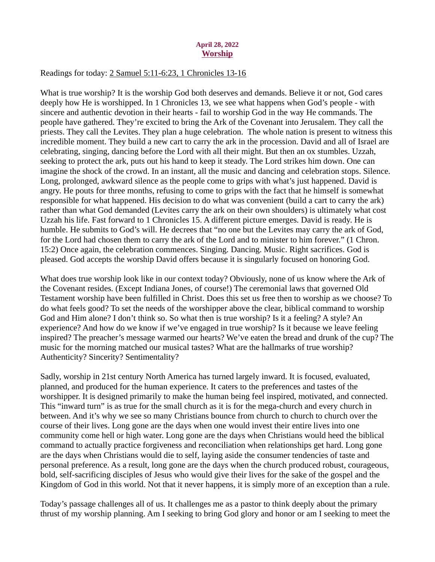### April 28, 2022 Worship

### <span id="page-31-0"></span>[Readings for today: 2 Samuel 5:11-6:23, 1 Chronicles 13-16](https://www.biblegateway.com/passage/?search=2+Samuel+5%3A11-6%3A23%2C+1+Chronicles+13-16&version=ESV)

What is true worship? It is the worship God both deserves and demands. Believe it or not, God cares deeply how He is worshipped. In 1 Chronicles 13, we see what happens when God's people - with sincere and authentic devotion in their hearts - fail to worship God in the way He commands. The people have gathered. They're excited to bring the Ark of the Covenant into Jerusalem. They call the priests. They call the Levites. They plan a huge celebration. The whole nation is present to witness this incredible moment. They build a new cart to carry the ark in the procession. David and all of Israel are celebrating, singing, dancing before the Lord with all their might. But then an ox stumbles. Uzzah, seeking to protect the ark, puts out his hand to keep it steady. The Lord strikes him down. One can imagine the shock of the crowd. In an instant, all the music and dancing and celebration stops. Silence. Long, prolonged, awkward silence as the people come to grips with what's just happened. David is angry. He pouts for three months, refusing to come to grips with the fact that he himself is somewhat responsible for what happened. His decision to do what was convenient (build a cart to carry the ark) rather than what God demanded (Levites carry the ark on their own shoulders) is ultimately what cost Uzzah his life. Fast forward to 1 Chronicles 15. A different picture emerges. David is ready. He is humble. He submits to God's will. He decrees that "no one but the Levites may carry the ark of God, for the Lord had chosen them to carry the ark of the Lord and to minister to him forever." (1 Chron. 15:2) Once again, the celebration commences. Singing. Dancing. Music. Right sacrifices. God is pleased. God accepts the worship David offers because it is singularly focused on honoring God.

What does true worship look like in our context today? Obviously, none of us know where the Ark of the Covenant resides. (Except Indiana Jones, of course!) The ceremonial laws that governed Old Testament worship have been fulfilled in Christ. Does this set us free then to worship as we choose? To do what feels good? To set the needs of the worshipper above the clear, biblical command to worship God and Him alone? I don't think so. So what then is true worship? Is it a feeling? A style? An experience? And how do we know if we've engaged in true worship? Is it because we leave feeling inspired? The preacher's message warmed our hearts? We've eaten the bread and drunk of the cup? The music for the morning matched our musical tastes? What are the hallmarks of true worship? Authenticity? Sincerity? Sentimentality?

Sadly, worship in 21st century North America has turned largely inward. It is focused, evaluated, planned, and produced for the human experience. It caters to the preferences and tastes of the worshipper. It is designed primarily to make the human being feel inspired, motivated, and connected. This "inward turn" is as true for the small church as it is for the mega-church and every church in between. And it's why we see so many Christians bounce from church to church to church over the course of their lives. Long gone are the days when one would invest their entire lives into one community come hell or high water. Long gone are the days when Christians would heed the biblical command to actually practice forgiveness and reconciliation when relationships get hard. Long gone are the days when Christians would die to self, laying aside the consumer tendencies of taste and personal preference. As a result, long gone are the days when the church produced robust, courageous, bold, self-sacrificing disciples of Jesus who would give their lives for the sake of the gospel and the Kingdom of God in this world. Not that it never happens, it is simply more of an exception than a rule.

Today's passage challenges all of us. It challenges me as a pastor to think deeply about the primary thrust of my worship planning. Am I seeking to bring God glory and honor or am I seeking to meet the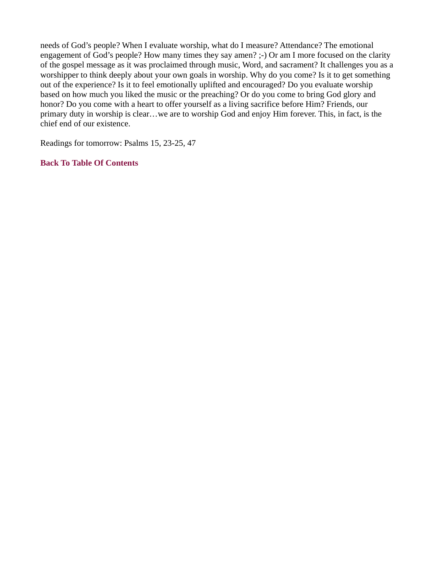needs of God's people? When I evaluate worship, what do I measure? Attendance? The emotional engagement of God's people? How many times they say amen? ;-) Or am I more focused on the clarity of the gospel message as it was proclaimed through music, Word, and sacrament? It challenges you as a worshipper to think deeply about your own goals in worship. Why do you come? Is it to get something out of the experience? Is it to feel emotionally uplifted and encouraged? Do you evaluate worship based on how much you liked the music or the preaching? Or do you come to bring God glory and honor? Do you come with a heart to offer yourself as a living sacrifice before Him? Friends, our primary duty in worship is clear…we are to worship God and enjoy Him forever. This, in fact, is the chief end of our existence.

Readings for tomorrow: Psalms 15, 23-25, 47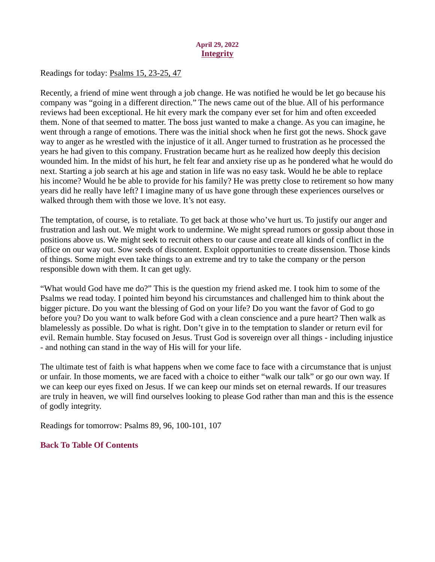## April 29, 2022 **Integrity**

<span id="page-33-0"></span>[Readings for today: Psalms 15, 23-25, 47](https://www.biblegateway.com/passage/?search=Psalms+15%2C+23-25%2C+47&version=ESV)

Recently, a friend of mine went through a job change. He was notified he would be let go because his company was "going in a different direction." The news came out of the blue. All of his performance reviews had been exceptional. He hit every mark the company ever set for him and often exceeded them. None of that seemed to matter. The boss just wanted to make a change. As you can imagine, he went through a range of emotions. There was the initial shock when he first got the news. Shock gave way to anger as he wrestled with the injustice of it all. Anger turned to frustration as he processed the years he had given to this company. Frustration became hurt as he realized how deeply this decision wounded him. In the midst of his hurt, he felt fear and anxiety rise up as he pondered what he would do next. Starting a job search at his age and station in life was no easy task. Would he be able to replace his income? Would he be able to provide for his family? He was pretty close to retirement so how many years did he really have left? I imagine many of us have gone through these experiences ourselves or walked through them with those we love. It's not easy.

The temptation, of course, is to retaliate. To get back at those who've hurt us. To justify our anger and frustration and lash out. We might work to undermine. We might spread rumors or gossip about those in positions above us. We might seek to recruit others to our cause and create all kinds of conflict in the office on our way out. Sow seeds of discontent. Exploit opportunities to create dissension. Those kinds of things. Some might even take things to an extreme and try to take the company or the person responsible down with them. It can get ugly.

"What would God have me do?" This is the question my friend asked me. I took him to some of the Psalms we read today. I pointed him beyond his circumstances and challenged him to think about the bigger picture. Do you want the blessing of God on your life? Do you want the favor of God to go before you? Do you want to walk before God with a clean conscience and a pure heart? Then walk as blamelessly as possible. Do what is right. Don't give in to the temptation to slander or return evil for evil. Remain humble. Stay focused on Jesus. Trust God is sovereign over all things - including injustice - and nothing can stand in the way of His will for your life.

The ultimate test of faith is what happens when we come face to face with a circumstance that is unjust or unfair. In those moments, we are faced with a choice to either "walk our talk" or go our own way. If we can keep our eyes fixed on Jesus. If we can keep our minds set on eternal rewards. If our treasures are truly in heaven, we will find ourselves looking to please God rather than man and this is the essence of godly integrity.

Readings for tomorrow: Psalms 89, 96, 100-101, 107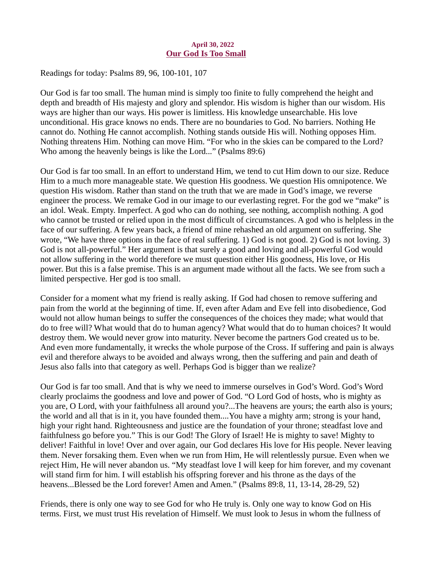## April 30, 2022 Our God Is Too Small

<span id="page-34-0"></span>Readings for today: [Psalms 89, 96, 100-101, 107](https://www.biblegateway.com/passage/?search=Psalms+89%2C+96%2C+100-101%2C+107&version=ESV)

Our God is far too small. The human mind is simply too finite to fully comprehend the height and depth and breadth of His majesty and glory and splendor. His wisdom is higher than our wisdom. His ways are higher than our ways. His power is limitless. His knowledge unsearchable. His love unconditional. His grace knows no ends. There are no boundaries to God. No barriers. Nothing He cannot do. Nothing He cannot accomplish. Nothing stands outside His will. Nothing opposes Him. Nothing threatens Him. Nothing can move Him. "For who in the skies can be compared to the Lord? Who among the heavenly beings is like the Lord..." (Psalms 89:6)

Our God is far too small. In an effort to understand Him, we tend to cut Him down to our size. Reduce Him to a much more manageable state. We question His goodness. We question His omnipotence. We question His wisdom. Rather than stand on the truth that we are made in God's image, we reverse engineer the process. We remake God in our image to our everlasting regret. For the god we "make" is an idol. Weak. Empty. Imperfect. A god who can do nothing, see nothing, accomplish nothing. A god who cannot be trusted or relied upon in the most difficult of circumstances. A god who is helpless in the face of our suffering. A few years back, a friend of mine rehashed an old argument on suffering. She wrote, "We have three options in the face of real suffering. 1) God is not good. 2) God is not loving. 3) God is not all-powerful." Her argument is that surely a good and loving and all-powerful God would not allow suffering in the world therefore we must question either His goodness, His love, or His power. But this is a false premise. This is an argument made without all the facts. We see from such a limited perspective. Her god is too small.

Consider for a moment what my friend is really asking. If God had chosen to remove suffering and pain from the world at the beginning of time. If, even after Adam and Eve fell into disobedience, God would not allow human beings to suffer the consequences of the choices they made; what would that do to free will? What would that do to human agency? What would that do to human choices? It would destroy them. We would never grow into maturity. Never become the partners God created us to be. And even more fundamentally, it wrecks the whole purpose of the Cross. If suffering and pain is always evil and therefore always to be avoided and always wrong, then the suffering and pain and death of Jesus also falls into that category as well. Perhaps God is bigger than we realize?

Our God is far too small. And that is why we need to immerse ourselves in God's Word. God's Word clearly proclaims the goodness and love and power of God. "O Lord God of hosts, who is mighty as you are, O Lord, with your faithfulness all around you?...The heavens are yours; the earth also is yours; the world and all that is in it, you have founded them....You have a mighty arm; strong is your hand, high your right hand. Righteousness and justice are the foundation of your throne; steadfast love and faithfulness go before you." This is our God! The Glory of Israel! He is mighty to save! Mighty to deliver! Faithful in love! Over and over again, our God declares His love for His people. Never leaving them. Never forsaking them. Even when we run from Him, He will relentlessly pursue. Even when we reject Him, He will never abandon us. "My steadfast love I will keep for him forever, and my covenant will stand firm for him. I will establish his offspring forever and his throne as the days of the heavens...Blessed be the Lord forever! Amen and Amen." (Psalms 89:8, 11, 13-14, 28-29, 52)

Friends, there is only one way to see God for who He truly is. Only one way to know God on His terms. First, we must trust His revelation of Himself. We must look to Jesus in whom the fullness of